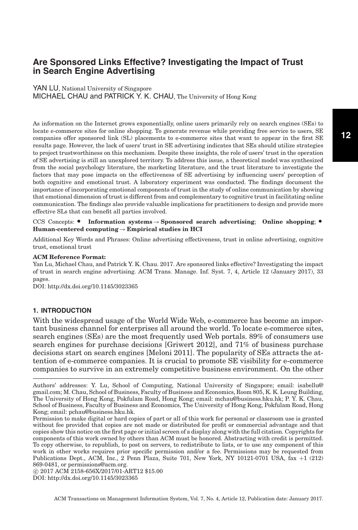# **Are Sponsored Links Effective? Investigating the Impact of Trust in Search Engine Advertising**

### YAN LU, National University of Singapore MICHAEL CHAU and PATRICK Y. K. CHAU, The University of Hong Kong

As information on the Internet grows exponentially, online users primarily rely on search engines (SEs) to locate e-commerce sites for online shopping. To generate revenue while providing free service to users, SE companies offer sponsored link (SL) placements to e-commerce sites that want to appear in the first SE results page. However, the lack of users' trust in SE advertising indicates that SEs should utilize strategies to project trustworthiness on this mechanism. Despite these insights, the role of users' trust in the operation of SE advertising is still an unexplored territory. To address this issue, a theoretical model was synthesized from the social psychology literature, the marketing literature, and the trust literature to investigate the factors that may pose impacts on the effectiveness of SE advertising by influencing users' perception of both cognitive and emotional trust. A laboratory experiment was conducted. The findings document the importance of incorporating emotional components of trust in the study of online communication by showing that emotional dimension of trust is different from and complementary to cognitive trust in facilitating online communication. The findings also provide valuable implications for practitioners to design and provide more effective SLs that can benefit all parties involved.

## CCS Concepts: • Information systems → Sponsored search advertising; Online shopping; • **Human-centered computing**→**Empirical studies in HCI**

Additional Key Words and Phrases: Online advertising effectiveness, trust in online advertising, cognitive trust, emotional trust

#### **ACM Reference Format:**

Yan Lu, Michael Chau, and Patrick Y. K. Chau. 2017. Are sponsored links effective? Investigating the impact of trust in search engine advertising. ACM Trans. Manage. Inf. Syst. 7, 4, Article 12 (January 2017), 33 pages.

DOI:<http://dx.doi.org/10.1145/3023365>

### **1. INTRODUCTION**

With the widespread usage of the World Wide Web, e-commerce has become an important business channel for enterprises all around the world. To locate e-commerce sites, search engines (SEs) are the most frequently used Web portals. 89% of consumers use search engines for purchase decisions [\[Griwert 2012\]](#page-29-0), and 71% of business purchase decisions start on search engines [\[Meloni 2011\]](#page-31-0). The popularity of SEs attracts the attention of e-commerce companies. It is crucial to promote SE visibility for e-commerce companies to survive in an extremely competitive business environment. On the other

-c 2017 ACM 2158-656X/2017/01-ART12 \$15.00

Authors' addresses: Y. Lu, School of Computing, National University of Singapore; email: isabellu@ gmail.com; M. Chau, School of Business, Faculty of Business and Economics, Room 805, K. K. Leung Building, The University of Hong Kong, Pokfulam Road, Hong Kong; email: mchau@business.hku.hk; P. Y. K. Chau, School of Business, Faculty of Business and Economics, The University of Hong Kong, Pokfulam Road, Hong Kong; email: pchau@business.hku.hk.

Permission to make digital or hard copies of part or all of this work for personal or classroom use is granted without fee provided that copies are not made or distributed for profit or commercial advantage and that copies show this notice on the first page or initial screen of a display along with the full citation. Copyrights for components of this work owned by others than ACM must be honored. Abstracting with credit is permitted. To copy otherwise, to republish, to post on servers, to redistribute to lists, or to use any component of this work in other works requires prior specific permission and/or a fee. Permissions may be requested from Publications Dept., ACM, Inc., 2 Penn Plaza, Suite 701, New York, NY 10121-0701 USA, fax +1 (212) 869-0481, or permissions@acm.org.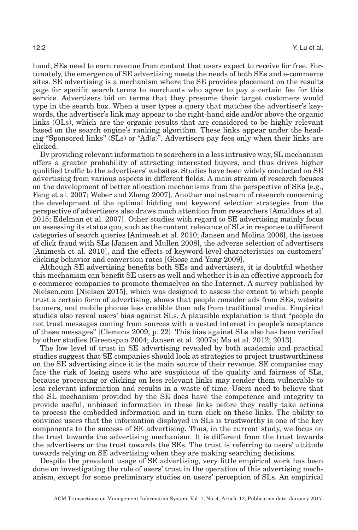hand, SEs need to earn revenue from content that users expect to receive for free. Fortunately, the emergence of SE advertising meets the needs of both SEs and e-commerce sites. SE advertising is a mechanism where the SE provides placement on the results page for specific search terms to merchants who agree to pay a certain fee for this service. Advertisers bid on terms that they presume their target customers would type in the search box. When a user types a query that matches the advertiser's keywords, the advertiser's link may appear to the right-hand side and/or above the organic links (OLs), which are the organic results that are considered to be highly relevant based on the search engine's ranking algorithm. These links appear under the heading "Sponsored links" (SLs) or "Ad(s)". Advertisers pay fees only when their links are clicked.

By providing relevant information to searchers in a less intrusive way, SL mechanism offers a greater probability of attracting interested buyers, and thus drives higher qualified traffic to the advertisers' websites. Studies have been widely conducted on SE advertising from various aspects in different fields. A main stream of research focuses on the development of better allocation mechanisms from the perspective of SEs [e.g., [Feng et al. 2007;](#page-29-1) [Weber and Zheng 2007\]](#page-32-0). Another mainstream of research concerning the development of the optimal bidding and keyword selection strategies from the perspective of advertisers also draws much attention from researchers [\[Amaldoss et al.](#page-28-0) [2015;](#page-28-0) [Edelman et al. 2007\]](#page-29-2). Other studies with regard to SE advertising mainly focus on assessing its status quo, such as the content relevance of SLs in response to different categories of search queries [\[Animesh et al. 2010;](#page-28-1) [Jansen and Molina 2006\]](#page-30-0), the issues of click fraud with SLs [\[Jansen and Mullen 2008\]](#page-30-1), the adverse selection of advertisers [\[Animesh et al. 2010\]](#page-28-1), and the effects of keyword-level characteristics on customers' clicking behavior and conversion rates [\[Ghose and Yang 2009\]](#page-29-3).

Although SE advertising benefits both SEs and advertisers, it is doubtful whether this mechanism can benefit SE users as well and whether it is an effective approach for e-commerce companies to promote themselves on the Internet. A survey published by Nielsen.com [\[Nielsen 2015\]](#page-31-1), which was designed to assess the extent to which people trust a certain form of advertising, shows that people consider ads from SEs, website banners, and mobile phones less credible than ads from traditional media. Empirical studies also reveal users' bias against SLs. A plausible explanation is that "people do not trust messages coming from sources with a vested interest in people's acceptance of these messages" [\[Clemons 2009,](#page-28-2) p. 22]. This bias against SLs also has been verified by other studies [\[Greenspan 2004;](#page-29-4) [Jansen et al. 2007a;](#page-30-2) [Ma et al. 2012;](#page-31-2) 2013].

The low level of trust in SE advertising revealed by both academic and practical studies suggest that SE companies should look at strategies to project trustworthiness on the SE advertising since it is the main source of their revenue. SE companies may face the risk of losing users who are suspicious of the quality and fairness of SLs, because processing or clicking on less relevant links may render them vulnerable to less relevant information and results in a waste of time. Users need to believe that the SL mechanism provided by the SE does have the competence and integrity to provide useful, unbiased information in these links before they really take actions to process the embedded information and in turn click on these links. The ability to convince users that the information displayed in SLs is trustworthy is one of the key components to the success of SE advertising. Thus, in the current study, we focus on the trust towards the advertising mechanism. It is different from the trust towards the advertisers or the trust towards the SEs. The trust is referring to users' attitude towards relying on SE advertising when they are making searching decisions.

Despite the prevalent usage of SE advertising, very little empirical work has been done on investigating the role of users' trust in the operation of this advertising mechanism, except for some preliminary studies on users' perception of SLs. An empirical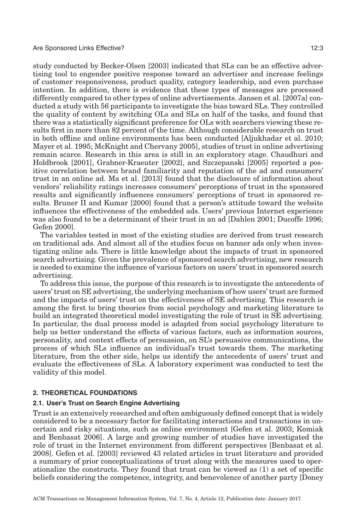study conducted by [Becker-Olsen \[2003\]](#page-28-3) indicated that SLs can be an effective advertising tool to engender positive response toward an advertiser and increase feelings of customer responsiveness, product quality, category leadership, and even purchase intention. In addition, there is evidence that these types of messages are processed differently compared to other types of online advertisements. [Jansen et al. \[2007a\]](#page-30-2) conducted a study with 56 participants to investigate the bias toward SLs. They controlled the quality of content by switching OLs and SLs on half of the tasks, and found that there was a statistically significant preference for OLs with searchers viewing these results first in more than 82 percent of the time. Although considerable research on trust in both offline and online environments has been conducted [\[Aljukhadar et al. 2010;](#page-28-4) [Mayer et al. 1995;](#page-31-3) [McKnight and Chervany 2005\]](#page-31-4), studies of trust in online advertising remain scarce. Research in this area is still in an exploratory stage. [Chaudhuri and](#page-28-5) [Holdbrook \[2001\],](#page-28-5) [Grabner-Kraeuter \[2002\],](#page-29-5) and [Szczepanski \[2005\]](#page-32-1) reported a positive correlation between brand familiarity and reputation of the ad and consumers' trust in an online ad. Ma et al. [2013] found that the disclosure of information about vendors' reliability ratings increases consumers' perceptions of trust in the sponsored results and significantly influences consumers' perceptions of trust in sponsored results. [Bruner II and Kumar \[2000\]](#page-28-6) found that a person's attitude toward the website influences the effectiveness of the embedded ads. Users' previous Internet experience was also found to be a determinant of their trust in an ad [\[Dahlen 2001;](#page-29-6) [Ducoffe 1996;](#page-29-7) [Gefen 2000\]](#page-29-8).

The variables tested in most of the existing studies are derived from trust research on traditional ads. And almost all of the studies focus on banner ads only when investigating online ads. There is little knowledge about the impacts of trust in sponsored search advertising. Given the prevalence of sponsored search advertising, new research is needed to examine the influence of various factors on users' trust in sponsored search advertising.

To address this issue, the purpose of this research is to investigate the antecedents of users' trust on SE advertising, the underlying mechanism of how users' trust are formed and the impacts of users' trust on the effectiveness of SE advertising. This research is among the first to bring theories from social psychology and marketing literature to build an integrated theoretical model investigating the role of trust in SE advertising. In particular, the dual process model is adapted from social psychology literature to help us better understand the effects of various factors, such as information sources, personality, and context effects of persuasion, on SL's persuasive communications, the process of which SLs influence an individual's trust towards them. The marketing literature, from the other side, helps us identify the antecedents of users' trust and evaluate the effectiveness of SLs. A laboratory experiment was conducted to test the validity of this model.

#### **2. THEORETICAL FOUNDATIONS**

### **2.1. User's Trust on Search Engine Advertising**

Trust is an extensively researched and often ambiguously defined concept that is widely considered to be a necessary factor for facilitating interactions and transactions in uncertain and risky situations, such as online environment [\[Gefen et al. 2003;](#page-29-9) [Komiak](#page-30-3) [and Benbasat 2006\]](#page-30-3). A large and growing number of studies have investigated the role of trust in the Internet environment from different perspectives [\[Benbasat et al.](#page-28-7) [2008\]](#page-28-7). [Gefen et al. \[2003\]](#page-29-9) reviewed 43 related articles in trust literature and provided a summary of prior conceptualizations of trust along with the measures used to operationalize the constructs. They found that trust can be viewed as (1) a set of specific beliefs considering the competence, integrity, and benevolence of another party [Doney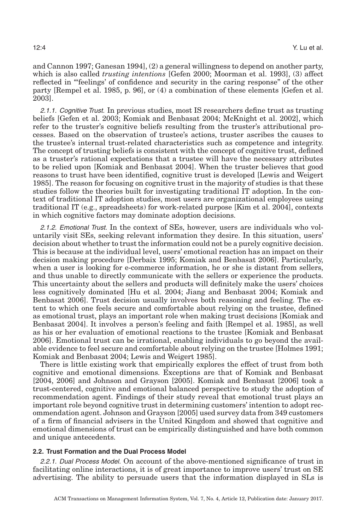and Cannon 1997; [Ganesan 1994\]](#page-29-11), (2) a general willingness to depend on another party, which is also called *trusting intentions* [\[Gefen 2000;](#page-29-8) [Moorman et al. 1993\]](#page-31-5), (3) affect reflected in "'feelings' of confidence and security in the caring response" of the other party [\[Rempel et al. 1985,](#page-31-6) p. 96], or (4) a combination of these elements [\[Gefen et al.](#page-29-9) [2003\]](#page-29-9).

2.1.1. Cognitive Trust. In previous studies, most IS researchers define trust as trusting beliefs [\[Gefen et al. 2003;](#page-29-9) [Komiak and Benbasat 2004;](#page-30-4) [McKnight et al. 2002\]](#page-31-7), which refer to the truster's cognitive beliefs resulting from the truster's attributional processes. Based on the observation of trustee's actions, truster ascribes the causes to the trustee's internal trust-related characteristics such as competence and integrity. The concept of trusting beliefs is consistent with the concept of cognitive trust, defined as a truster's rational expectations that a trustee will have the necessary attributes to be relied upon [\[Komiak and Benbasat 2004\]](#page-30-4). When the truster believes that good reasons to trust have been identified, cognitive trust is developed [\[Lewis and Weigert](#page-30-5) [1985\]](#page-30-5). The reason for focusing on cognitive trust in the majority of studies is that these studies follow the theories built for investigating traditional IT adoption. In the context of traditional IT adoption studies, most users are organizational employees using traditional IT (e.g., spreadsheets) for work-related purpose [\[Kim et al. 2004\]](#page-30-6), contexts in which cognitive factors may dominate adoption decisions.

2.1.2. Emotional Trust. In the context of SEs, however, users are individuals who voluntarily visit SEs, seeking relevant information they desire. In this situation, users' decision about whether to trust the information could not be a purely cognitive decision. This is because at the individual level, users' emotional reaction has an impact on their decision making procedure [\[Derbaix 1995;](#page-29-12) [Komiak and Benbasat 2006\]](#page-30-3). Particularly, when a user is looking for e-commerce information, he or she is distant from sellers, and thus unable to directly communicate with the sellers or experience the products. This uncertainty about the sellers and products will definitely make the users' choices less cognitively dominated [\[Hu et al. 2004;](#page-30-7) [Jiang and Benbasat 2004;](#page-30-8) [Komiak and](#page-30-3) [Benbasat 2006\]](#page-30-3). Trust decision usually involves both reasoning and feeling. The extent to which one feels secure and comfortable about relying on the trustee, defined as emotional trust, plays an important role when making trust decisions [\[Komiak and](#page-30-4) [Benbasat 2004\]](#page-30-4). It involves a person's feeling and faith [\[Rempel et al. 1985\]](#page-31-6), as well as his or her evaluation of emotional reactions to the trustee [\[Komiak and Benbasat](#page-30-3) [2006\]](#page-30-3). Emotional trust can be irrational, enabling individuals to go beyond the available evidence to feel secure and comfortable about relying on the trustee [\[Holmes 1991;](#page-29-13) [Komiak and Benbasat 2004;](#page-30-4) [Lewis and Weigert 1985\]](#page-30-5).

There is little existing work that empirically explores the effect of trust from both cognitive and emotional dimensions. Exceptions are that of Komiak and Benbasat [\[2004,](#page-30-4) [2006\]](#page-30-3) and [Johnson and Grayson \[2005\].](#page-30-9) [Komiak and Benbasat \[2006\]](#page-30-3) took a trust-centered, cognitive and emotional balanced perspective to study the adoption of recommendation agent. Findings of their study reveal that emotional trust plays an important role beyond cognitive trust in determining customers' intention to adopt recommendation agent. [Johnson and Grayson \[2005\]](#page-30-9) used survey data from 349 customers of a firm of financial advisers in the United Kingdom and showed that cognitive and emotional dimensions of trust can be empirically distinguished and have both common and unique antecedents.

# **2.2. Trust Formation and the Dual Process Model**

2.2.1. Dual Process Model. On account of the above-mentioned significance of trust in facilitating online interactions, it is of great importance to improve users' trust on SE advertising. The ability to persuade users that the information displayed in SLs is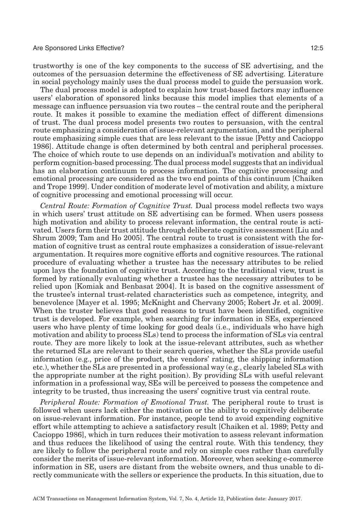trustworthy is one of the key components to the success of SE advertising, and the outcomes of the persuasion determine the effectiveness of SE advertising. Literature in social psychology mainly uses the dual process model to guide the persuasion work.

The dual process model is adopted to explain how trust-based factors may influence users' elaboration of sponsored links because this model implies that elements of a message can influence persuasion via two routes – the central route and the peripheral route. It makes it possible to examine the mediation effect of different dimensions of trust. The dual process model presents two routes to persuasion, with the central route emphasizing a consideration of issue-relevant argumentation, and the peripheral route emphasizing simple cues that are less relevant to the issue [\[Petty and Cacioppo](#page-31-8) [1986\]](#page-31-8). Attitude change is often determined by both central and peripheral processes. The choice of which route to use depends on an individual's motivation and ability to perform cognition-based processing. The dual process model suggests that an individual has an elaboration continuum to process information. The cognitive processing and emotional processing are considered as the two end points of this continuum [\[Chaiken](#page-28-8) [and Trope 1999\]](#page-28-8). Under condition of moderate level of motivation and ability, a mixture of cognitive processing and emotional processing will occur.

*Central Route: Formation of Cognitive Trust.* Dual process model reflects two ways in which users' trust attitude on SE advertising can be formed. When users possess high motivation and ability to process relevant information, the central route is activated. Users form their trust attitude through deliberate cognitive assessment [\[Liu and](#page-31-9) [Shrum 2009;](#page-31-9) [Tam and Ho 2005\]](#page-32-2). The central route to trust is consistent with the formation of cognitive trust as central route emphasizes a consideration of issue-relevant argumentation. It requires more cognitive efforts and cognitive resources. The rational procedure of evaluating whether a trustee has the necessary attributes to be relied upon lays the foundation of cognitive trust. According to the traditional view, trust is formed by rationally evaluating whether a trustee has the necessary attributes to be relied upon [\[Komiak and Benbasat 2004\]](#page-30-4). It is based on the cognitive assessment of the trustee's internal trust-related characteristics such as competence, integrity, and benevolence [\[Mayer et al. 1995;](#page-31-3) [McKnight and Chervany 2005;](#page-31-4) [Robert Jr. et al. 2009\].](#page-31-10) When the truster believes that good reasons to trust have been identified, cognitive trust is developed. For example, when searching for information in SEs, experienced users who have plenty of time looking for good deals (i.e., individuals who have high motivation and ability to process SLs) tend to process the information of SLs via central route. They are more likely to look at the issue-relevant attributes, such as whether the returned SLs are relevant to their search queries, whether the SLs provide useful information (e.g., price of the product, the vendors' rating, the shipping information etc.), whether the SLs are presented in a professional way (e.g., clearly labeled SLs with the appropriate number at the right position). By providing SLs with useful relevant information in a professional way, SEs will be perceived to possess the competence and integrity to be trusted, thus increasing the users' cognitive trust via central route.

*Peripheral Route: Formation of Emotional Trust.* The peripheral route to trust is followed when users lack either the motivation or the ability to cognitively deliberate on issue-relevant information. For instance, people tend to avoid expending cognitive effort while attempting to achieve a satisfactory result [\[Chaiken et al. 1989;](#page-28-9) [Petty and](#page-31-8) [Cacioppo 1986\]](#page-31-8), which in turn reduces their motivation to assess relevant information and thus reduces the likelihood of using the central route. With this tendency, they are likely to follow the peripheral route and rely on simple cues rather than carefully consider the merits of issue-relevant information. Moreover, when seeking e-commerce information in SE, users are distant from the website owners, and thus unable to directly communicate with the sellers or experience the products. In this situation, due to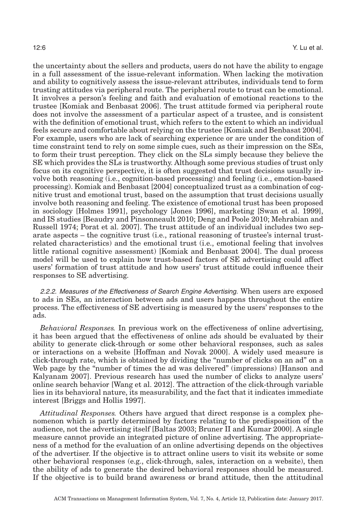the uncertainty about the sellers and products, users do not have the ability to engage in a full assessment of the issue-relevant information. When lacking the motivation and ability to cognitively assess the issue-relevant attributes, individuals tend to form trusting attitudes via peripheral route. The peripheral route to trust can be emotional. It involves a person's feeling and faith and evaluation of emotional reactions to the trustee [\[Komiak and Benbasat 2006\]](#page-30-3). The trust attitude formed via peripheral route does not involve the assessment of a particular aspect of a trustee, and is consistent with the definition of emotional trust, which refers to the extent to which an individual feels secure and comfortable about relying on the trustee [\[Komiak and Benbasat 2004\]](#page-30-4). For example, users who are lack of searching experience or are under the condition of time constraint tend to rely on some simple cues, such as their impression on the SEs, to form their trust perception. They click on the SLs simply because they believe the SE which provides the SLs is trustworthy. Although some previous studies of trust only focus on its cognitive perspective, it is often suggested that trust decisions usually involve both reasoning (i.e., cognition-based processing) and feeling (i.e., emotion-based processing). [Komiak and Benbasat \[2004\]](#page-30-4) conceptualized trust as a combination of cognitive trust and emotional trust, based on the assumption that trust decisions usually involve both reasoning and feeling. The existence of emotional trust has been proposed in sociology [\[Holmes 1991\]](#page-29-13), psychology [\[Jones 1996\]](#page-30-10), marketing [\[Swan et al. 1999\]](#page-32-3), and IS studies [\[Beaudry and Pinsonneault 2010;](#page-28-10) [Deng and Poole 2010;](#page-29-14) [Mehrabian and](#page-31-11) [Russell 1974;](#page-31-11) [Porat et al. 2007\]](#page-31-12). The trust attitude of an individual includes two separate aspects – the cognitive trust (i.e., rational reasoning of trustee's internal trustrelated characteristics) and the emotional trust (i.e., emotional feeling that involves little rational cognitive assessment) [\[Komiak and Benbasat 2004\]](#page-30-4). The dual process model will be used to explain how trust-based factors of SE advertising could affect users' formation of trust attitude and how users' trust attitude could influence their responses to SE advertising.

2.2.2. Measures of the Effectiveness of Search Engine Advertising. When users are exposed to ads in SEs, an interaction between ads and users happens throughout the entire process. The effectiveness of SE advertising is measured by the users' responses to the ads.

*Behavioral Responses.* In previous work on the effectiveness of online advertising, it has been argued that the effectiveness of online ads should be evaluated by their ability to generate click-through or some other behavioral responses, such as sales or interactions on a website [\[Hoffman and Novak 2000\]](#page-29-15). A widely used measure is click-through rate, which is obtained by dividing the "number of clicks on an ad" on a Web page by the "number of times the ad was delivered" (impressions) [\[Hanson and](#page-29-16) [Kalyanam 2007\]](#page-29-16). Previous research has used the number of clicks to analyze users' online search behavior [\[Wang et al. 2012\]](#page-32-4). The attraction of the click-through variable lies in its behavioral nature, its measurability, and the fact that it indicates immediate interest [\[Briggs and Hollis 1997\]](#page-28-11).

*Attitudinal Responses.* Others have argued that direct response is a complex phenomenon which is partly determined by factors relating to the predisposition of the audience, not the advertising itself [\[Baltas 2003;](#page-28-12) [Bruner II and Kumar 2000\]](#page-28-6). A single measure cannot provide an integrated picture of online advertising. The appropriateness of a method for the evaluation of an online advertising depends on the objectives of the advertiser. If the objective is to attract online users to visit its website or some other behavioral responses (e.g., click-through, sales, interaction on a website), then the ability of ads to generate the desired behavioral responses should be measured. If the objective is to build brand awareness or brand attitude, then the attitudinal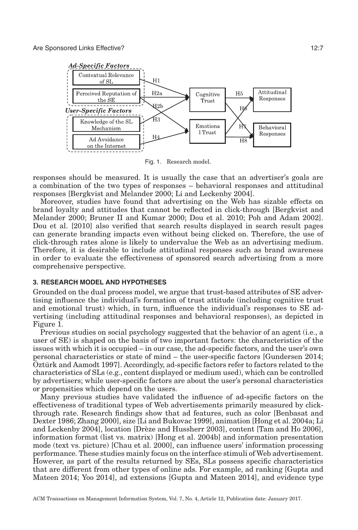<span id="page-6-0"></span>

Fig. 1. Research model.

responses should be measured. It is usually the case that an advertiser's goals are a combination of the two types of responses – behavioral responses and attitudinal responses [\[Bergkvist and Melander 2000;](#page-28-13) [Li and Leckenby 2004\]](#page-30-11).

Moreover, studies have found that advertising on the Web has sizable effects on brand loyalty and attitudes that cannot be reflected in click-through [\[Bergkvist and](#page-28-13) [Melander 2000;](#page-28-13) [Bruner II and Kumar 2000;](#page-28-6) [Dou et al. 2010;](#page-29-17) [Poh and Adam 2002\]](#page-31-13). [Dou et al. \[2010\]](#page-29-17) also verified that search results displayed in search result pages can generate branding impacts even without being clicked on. Therefore, the use of click-through rates alone is likely to undervalue the Web as an advertising medium. Therefore, it is desirable to include attitudinal responses such as brand awareness in order to evaluate the effectiveness of sponsored search advertising from a more comprehensive perspective.

### **3. RESEARCH MODEL AND HYPOTHESES**

Grounded on the dual process model, we argue that trust-based attributes of SE advertising influence the individual's formation of trust attitude (including cognitive trust and emotional trust) which, in turn, influence the individual's responses to SE advertising (including attitudinal responses and behavioral responses), as depicted in Figure [1.](#page-6-0)

Previous studies on social psychology suggested that the behavior of an agent (i.e., a user of SE) is shaped on the basis of two important factors: the characteristics of the issues with which it is occupied – in our case, the ad-specific factors, and the user's own personal characteristics or state of mind – the user-specific factors [\[Gundersen 2014;](#page-29-18)  $\overline{\text{O}z}$  türk and Aamodt 1997]. Accordingly, ad-specific factors refer to factors related to the characteristics of SLs (e.g., content displayed or medium used), which can be controlled by advertisers; while user-specific factors are about the user's personal characteristics or propensities which depend on the users.

Many previous studies have validated the influence of ad-specific factors on the effectiveness of traditional types of Web advertisements primarily measured by clickthrough rate. Research findings show that ad features, such as color [Benbasat and Dexter 1986; Zhang 2000], size [Li and Bukovac 1999], animation [Hong et al. 2004a; Li and Leckenby 2004], location [Dreze and Hussherr 2003], content [Tam and Ho 2006], ` information format (list vs. matrix) [Hong et al. 2004b] and information presentation mode (text vs. picture) [Chau et al. 2000], can influence users' information processing performance. These studies mainly focus on the interface stimuli of Web advertisement. However, as part of the results returned by SEs, SLs possess specific characteristics that are different from other types of online ads. For example, ad ranking [\[Gupta and](#page-29-19) [Mateen 2014;](#page-29-19) [Yoo 2014\]](#page-32-5), ad extensions [\[Gupta and Mateen 2014\]](#page-29-19), and evidence type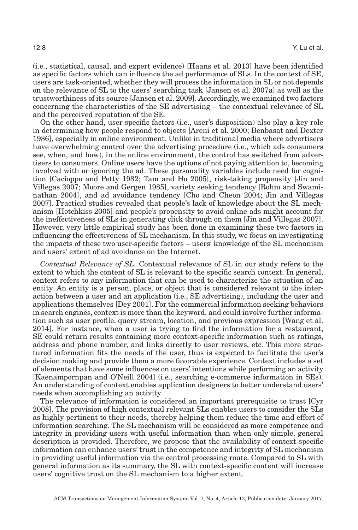(i.e., statistical, causal, and expert evidence) [\[Haans et al. 2013\]](#page-29-20) have been identified as specific factors which can influence the ad performance of SLs. In the context of SE, users are task-oriented, whether they will process the information in SL or not depends on the relevance of SL to the users' searching task [\[Jansen et al. 2007a\]](#page-30-2) as well as the trustworthiness of its source [\[Jansen et al. 2009\]](#page-30-12). Accordingly, we examined two factors concerning the characteristics of the SE advertising – the contextual relevance of SL and the perceived reputation of the SE.

On the other hand, user-specific factors (i.e., user's disposition) also play a key role in determining how people respond to objects [\[Areni et al. 2000;](#page-28-14) [Benbasat and Dexter](#page-28-15) [1986\]](#page-28-15), especially in online environment. Unlike in traditional media where advertisers have overwhelming control over the advertising procedure (i.e., which ads consumers see, when, and how), in the online environment, the control has switched from advertisers to consumers. Online users have the options of not paying attention to, becoming involved with or ignoring the ad. These personality variables include need for cognition [\[Cacioppo and Petty 1982;](#page-28-16) [Tam and Ho 2005\]](#page-32-2), risk-taking propensity [\[Jin and](#page-30-13) [Villegas 2007;](#page-30-13) [Moore and Gergen 1985\]](#page-31-15), variety seeking tendency [\[Rohm and Swami](#page-31-16)[nathan 2004\]](#page-31-16), and ad avoidance tendency [\[Cho and Cheon 2004;](#page-28-17) [Jin and Villegas](#page-30-13) [2007\]](#page-30-13). Practical studies revealed that people's lack of knowledge about the SL mechanism [\[Hotchkiss 2005\]](#page-30-14) and people's propensity to avoid online ads might account for the ineffectiveness of SLs in generating click through on them [\[Jin and Villegas 2007\]](#page-30-13). However, very little empirical study has been done in examining these two factors in influencing the effectiveness of SL mechanism. In this study, we focus on investigating the impacts of these two user-specific factors – users' knowledge of the SL mechanism and users' extent of ad avoidance on the Internet.

*Contextual Relevance of SL.* Contextual relevance of SL in our study refers to the extent to which the content of SL is relevant to the specific search context. In general, context refers to any information that can be used to characterize the situation of an entity. An entity is a person, place, or object that is considered relevant to the interaction between a user and an application (i.e., SE advertising), including the user and applications themselves [\[Dey 2001\]](#page-29-21). For the commercial information seeking behaviors in search engines, context is more than the keyword, and could involve further information such as user profile, query stream, location, and previous expression [\[Wang et al.](#page-32-6) [2014\]](#page-32-6). For instance, when a user is trying to find the information for a restaurant, SE could return results containing more context-specific information such as ratings, address and phone number, and links directly to user reviews, etc. This more structured information fits the needs of the user, thus is expected to facilitate the user's decision making and provide them a more favorable experience. Context includes a set of elements that have some influences on users' intentions while performing an activity [\[Kaenampornpan and O'Neill 2004\]](#page-30-15) (i.e., searching e-commerce information in SEs). An understanding of context enables application designers to better understand users' needs when accomplishing an activity.

The relevance of information is considered an important prerequisite to trust [\[Cyr](#page-28-18) [2008\]](#page-28-18). The provision of high contextual relevant SLs enables users to consider the SLs as highly pertinent to their needs, thereby helping them reduce the time and effort of information searching. The SL mechanism will be considered as more competence and integrity in providing users with useful information than when only simple, general description is provided. Therefore, we propose that the availability of context-specific information can enhance users' trust in the competence and integrity of SL mechanism in providing useful information via the central processing route. Compared to SL with general information as its summary, the SL with context-specific content will increase users' cognitive trust on the SL mechanism to a higher extent.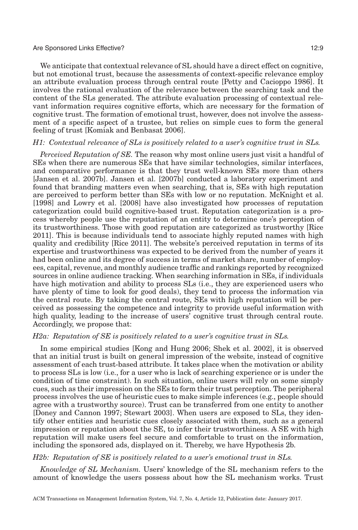We anticipate that contextual relevance of SL should have a direct effect on cognitive, but not emotional trust, because the assessments of context-specific relevance employ an attribute evaluation process through central route [\[Petty and Cacioppo 1986\]](#page-31-8). It involves the rational evaluation of the relevance between the searching task and the content of the SLs generated. The attribute evaluation processing of contextual relevant information requires cognitive efforts, which are necessary for the formation of cognitive trust. The formation of emotional trust, however, does not involve the assessment of a specific aspect of a trustee, but relies on simple cues to form the general feeling of trust [\[Komiak and Benbasat 2006\]](#page-30-3).

#### *H1: Contextual relevance of SLs is positively related to a user's cognitive trust in SLs.*

*Perceived Reputation of SE.* The reason why most online users just visit a handful of SEs when there are numerous SEs that have similar technologies, similar interfaces, and comparative performance is that they trust well-known SEs more than others [\[Jansen et al. 2007b\]](#page-30-16). [Jansen et al. \[2007b\]](#page-30-16) conducted a laboratory experiment and found that branding matters even when searching, that is, SEs with high reputation are perceived to perform better than SEs with low or no reputation. [McKnight et al.](#page-31-17) [\[1998\]](#page-31-17) and [Lowry et al. \[2008\]](#page-31-18) have also investigated how processes of reputation categorization could build cognitive-based trust. Reputation categorization is a process whereby people use the reputation of an entity to determine one's perception of its trustworthiness. Those with good reputation are categorized as trustworthy [\[Rice](#page-31-19) [2011\]](#page-31-19). This is because individuals tend to associate highly reputed names with high quality and credibility [\[Rice 2011\]](#page-31-19). The website's perceived reputation in terms of its expertise and trustworthiness was expected to be derived from the number of years it had been online and its degree of success in terms of market share, number of employees, capital, revenue, and monthly audience traffic and rankings reported by recognized sources in online audience tracking. When searching information in SEs, if individuals have high motivation and ability to process SLs (i.e., they are experienced users who have plenty of time to look for good deals), they tend to process the information via the central route. By taking the central route, SEs with high reputation will be perceived as possessing the competence and integrity to provide useful information with high quality, leading to the increase of users' cognitive trust through central route. Accordingly, we propose that:

#### *H2a: Reputation of SE is positively related to a user's cognitive trust in SLs.*

In some empirical studies [\[Kong and Hung 2006;](#page-30-17) [Shek et al. 2002\]](#page-32-7), it is observed that an initial trust is built on general impression of the website, instead of cognitive assessment of each trust-based attribute. It takes place when the motivation or ability to process SLs is low (i.e., for a user who is lack of searching experience or is under the condition of time constraint). In such situation, online users will rely on some simply cues, such as their impression on the SEs to form their trust perception. The peripheral process involves the use of heuristic cues to make simple inferences (e.g., people should agree with a trustworthy source). Trust can be transferred from one entity to another [\[Doney and Cannon 1997;](#page-29-10) [Stewart 2003\]](#page-32-8). When users are exposed to SLs, they identify other entities and heuristic cues closely associated with them, such as a general impression or reputation about the SE, to infer their trustworthiness. A SE with high reputation will make users feel secure and comfortable to trust on the information, including the sponsored ads, displayed on it. Thereby, we have Hypothesis 2b.

#### *H2b: Reputation of SE is positively related to a user's emotional trust in SLs.*

*Knowledge of SL Mechanism.* Users' knowledge of the SL mechanism refers to the amount of knowledge the users possess about how the SL mechanism works. Trust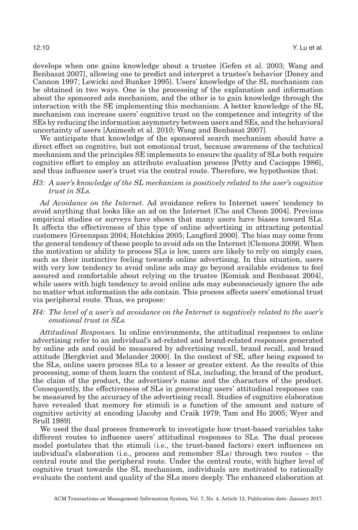develops when one gains knowledge about a trustee [\[Gefen et al. 2003;](#page-29-9) [Wang and](#page-32-9) [Benbasat 2007\]](#page-32-9), allowing one to predict and interpret a trustee's behavior [\[Doney and](#page-29-10) [Cannon 1997;](#page-29-10) [Lewicki and Bunker 1995\]](#page-30-18). Users' knowledge of the SL mechanism can be obtained in two ways. One is the processing of the explanation and information about the sponsored ads mechanism, and the other is to gain knowledge through the interaction with the SE implementing this mechanism. A better knowledge of the SL mechanism can increase users' cognitive trust on the competence and integrity of the SEs by reducing the information asymmetry between users and SEs, and the behavioral uncertainty of users [\[Animesh et al. 2010;](#page-28-1) [Wang and Benbasat 2007\]](#page-32-9).

We anticipate that knowledge of the sponsored search mechanism should have a direct effect on cognitive, but not emotional trust, because awareness of the technical mechanism and the principles SE implements to ensure the quality of SLs both require cognitive effort to employ an attribute evaluation process [\[Petty and Cacioppo 1986\]](#page-31-8), and thus influence user's trust via the central route. Therefore, we hypothesize that:

### *H3: A user's knowledge of the SL mechanism is positively related to the user's cognitive trust in SLs.*

*Ad Avoidance on the Internet.* Ad avoidance refers to Internet users' tendency to avoid anything that looks like an ad on the Internet [\[Cho and Cheon 2004\]](#page-28-17). Previous empirical studies or surveys have shown that many users have biases toward SLs. It affects the effectiveness of this type of online advertising in attracting potential customers [\[Greenspan 2004;](#page-29-4) [Hotchkiss 2005;](#page-30-14) [Langford 2000\]](#page-30-19). The bias may come from the general tendency of these people to avoid ads on the Internet [\[Clemons 2009\]](#page-28-2). When the motivation or ability to process SLs is low, users are likely to rely on simply cues, such as their instinctive feeling towards online advertising. In this situation, users with very low tendency to avoid online ads may go beyond available evidence to feel assured and comfortable about relying on the trustee [\[Komiak and Benbasat 2004\]](#page-30-4), while users with high tendency to avoid online ads may subconsciously ignore the ads no matter what information the ads contain. This process affects users' emotional trust via peripheral route. Thus, we propose:

### *H4: The level of a user's ad avoidance on the Internet is negatively related to the user's emotional trust in SLs.*

*Attitudinal Responses.* In online environments, the attitudinal responses to online advertising refer to an individual's ad-related and brand-related responses generated by online ads and could be measured by advertising recall, brand recall, and brand attitude [\[Bergkvist and Melander 2000\]](#page-28-13). In the context of SE, after being exposed to the SLs, online users process SLs to a lesser or greater extent. As the results of this processing, some of them learn the content of SLs, including, the brand of the product, the claim of the product, the advertiser's name and the characters of the product. Consequently, the effectiveness of SLs in generating users' attitudinal responses can be measured by the accuracy of the advertising recall. Studies of cognitive elaboration have revealed that memory for stimuli is a function of the amount and nature of cognitive activity at encoding [\[Jacoby and Craik 1979;](#page-30-20) [Tam and Ho 2005;](#page-32-2) [Wyer and](#page-32-10) [Srull 1989\]](#page-32-10).

We used the dual process framework to investigate how trust-based variables take different routes to influence users' attitudinal responses to SLs. The dual process model postulates that the stimuli (i.e., the trust-based factors) exert influences on individual's elaboration (i.e., process and remember SLs) through two routes – the central route and the peripheral route. Under the central route, with higher level of cognitive trust towards the SL mechanism, individuals are motivated to rationally evaluate the content and quality of the SLs more deeply. The enhanced elaboration at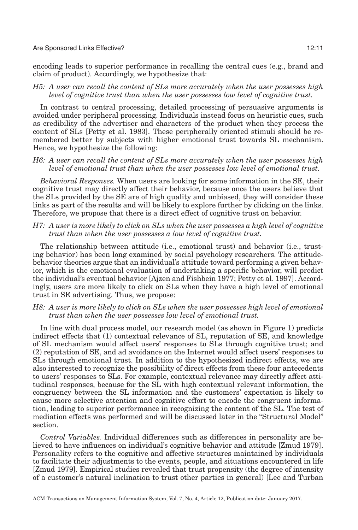encoding leads to superior performance in recalling the central cues (e.g., brand and claim of product). Accordingly, we hypothesize that:

*H5: A user can recall the content of SLs more accurately when the user possesses high level of cognitive trust than when the user possesses low level of cognitive trust.*

In contrast to central processing, detailed processing of persuasive arguments is avoided under peripheral processing. Individuals instead focus on heuristic cues, such as credibility of the advertiser and characters of the product when they process the content of SLs [\[Petty et al. 1983\]](#page-31-20). These peripherally oriented stimuli should be remembered better by subjects with higher emotional trust towards SL mechanism. Hence, we hypothesize the following:

*H6: A user can recall the content of SLs more accurately when the user possesses high level of emotional trust than when the user possesses low level of emotional trust.*

*Behavioral Responses.* When users are looking for some information in the SE, their cognitive trust may directly affect their behavior, because once the users believe that the SLs provided by the SE are of high quality and unbiased, they will consider these links as part of the results and will be likely to explore further by clicking on the links. Therefore, we propose that there is a direct effect of cognitive trust on behavior.

*H7: A user is more likely to click on SLs when the user possesses a high level of cognitive trust than when the user possesses a low level of cognitive trust.*

The relationship between attitude (i.e., emotional trust) and behavior (i.e., trusting behavior) has been long examined by social psychology researchers. The attitudebehavior theories argue that an individual's attitude toward performing a given behavior, which is the emotional evaluation of undertaking a specific behavior, will predict the individual's eventual behavior [\[Ajzen and Fishbein 1977;](#page-27-0) [Petty et al. 1997\]](#page-31-21). Accordingly, users are more likely to click on SLs when they have a high level of emotional trust in SE advertising. Thus, we propose:

*H8: A user is more likely to click on SLs when the user possesses high level of emotional trust than when the user possesses low level of emotional trust.*

In line with dual process model, our research model (as shown in Figure [1\)](#page-6-0) predicts indirect effects that (1) contextual relevance of SL, reputation of SE, and knowledge of SL mechanism would affect users' responses to SLs through cognitive trust; and (2) reputation of SE, and ad avoidance on the Internet would affect users' responses to SLs through emotional trust. In addition to the hypothesized indirect effects, we are also interested to recognize the possibility of direct effects from these four antecedents to users' responses to SLs. For example, contextual relevance may directly affect attitudinal responses, because for the SL with high contextual relevant information, the congruency between the SL information and the customers' expectation is likely to cause more selective attention and cognitive effort to encode the congruent information, leading to superior performance in recognizing the content of the SL. The test of mediation effects was performed and will be discussed later in the "Structural Model" section.

*Control Variables.* Individual differences such as differences in personality are believed to have influences on individual's cognitive behavior and attitude [\[Zmud 1979\]](#page-32-11). Personality refers to the cognitive and affective structures maintained by individuals to facilitate their adjustments to the events, people, and situations encountered in life [\[Zmud 1979\]](#page-32-11). Empirical studies revealed that trust propensity (the degree of intensity of a customer's natural inclination to trust other parties in general) [Lee and Turban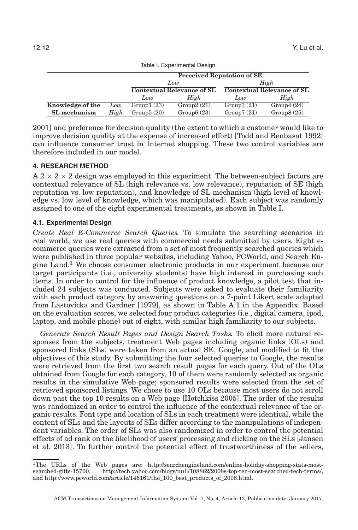<span id="page-11-0"></span>

|                  |      | <b>Perceived Reputation of SE</b> |                                   |            |                                   |  |  |
|------------------|------|-----------------------------------|-----------------------------------|------------|-----------------------------------|--|--|
|                  |      |                                   | Low                               | High       |                                   |  |  |
|                  |      |                                   | <b>Contextual Relevance of SL</b> |            | <b>Contextual Relevance of SL</b> |  |  |
|                  |      | Low                               | High                              | Low        | High                              |  |  |
| Knowledge of the | Low  | Group1(23)                        | Group2(21)                        | Group3(21) | Group $4(24)$                     |  |  |
| SL mechanism     | High | Group5(20)                        | Group $(23)$                      | Group7(21) | Group8(25)                        |  |  |

Table I. Experimental Design

2001] and preference for decision quality (the extent to which a customer would like to improve decision quality at the expense of increased effort) [\[Todd and Benbasat 1992\]](#page-32-12) can influence consumer trust in Internet shopping. These two control variables are therefore included in our model.

# **4. RESEARCH METHOD**

 $A$  2  $\times$  2  $\times$  2 design was employed in this experiment. The between-subject factors are contextual relevance of SL (high relevance vs. low relevance), reputation of SE (high reputation vs. low reputation), and knowledge of SL mechanism (high level of knowledge vs. low level of knowledge, which was manipulated). Each subject was randomly assigned to one of the eight experimental treatments, as shown in Table [I.](#page-11-0)

# **4.1. Experimental Design**

*Create Real E-Commerce Search Queries.* To simulate the searching scenarios in real world, we use real queries with commercial needs submitted by users. Eight ecommerce queries were extracted from a set of most frequently searched queries which were published in three popular websites, including Yahoo, PCWorld, and Search Engine Land.[1](#page-11-1) We choose consumer electronic products in our experiment because our target participants (i.e., university students) have high interest in purchasing such items. In order to control for the influence of product knowledge, a pilot test that included 24 subjects was conducted. Subjects were asked to evaluate their familiarity with each product category by answering questions on a 7-point Likert scale adapted from [Lastovicka and Gardner \[1979\],](#page-30-22) as shown in [Table A.1](#page-26-0) in the Appendix. Based on the evaluation scores, we selected four product categories (i.e., digital camera, ipod, laptop, and mobile phone) out of eight, with similar high familiarity to our subjects.

*Generate Search Result Pages and Design Search Tasks.* To elicit more natural responses from the subjects, treatment Web pages including organic links (OLs) and sponsored links (SLs) were taken from an actual SE, Google, and modified to fit the objectives of this study. By submitting the four selected queries to Google, the results were retrieved from the first two search result pages for each query. Out of the OLs obtained from Google for each category, 10 of them were randomly selected as organic results in the simulative Web page; sponsored results were selected from the set of retrieved sponsored listings. We chose to use 10 OLs because most users do not scroll down past the top 10 results on a Web page [\[Hotchkiss 2005\]](#page-30-14). The order of the results was randomized in order to control the influence of the contextual relevance of the organic results. Font type and location of SLs in each treatment were identical, while the content of SLs and the layouts of SEs differ according to the manipulations of independent variables. The order of SLs was also randomized in order to control the potential effects of ad rank on the likelihood of users' processing and clicking on the SLs [\[Jansen](#page-30-23) [et al. 2013\]](#page-30-23). To further control the potential effect of trustworthiness of the sellers,

<span id="page-11-1"></span><sup>1</sup>The URLs of the Web pages are: http://searchengineland.com/online-holiday-shopping-stats-mostsearched-gifts-15700, http://tech.yahoo.com/blogs/null/108862/2008s-top-ten-most-searched-tech-terms/, and http://www.pcworld.com/article/146161/the\_100\_best\_products\_of\_2008.html.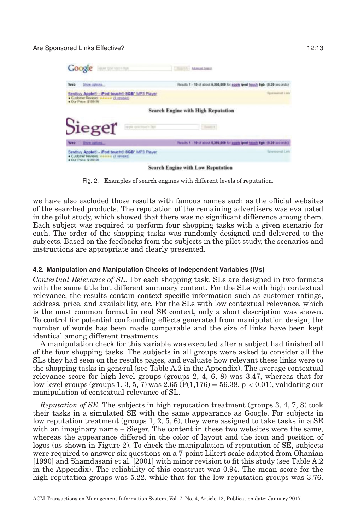<span id="page-12-0"></span>

**Search Engine with Low Reputation** 

Fig. 2. Examples of search engines with different levels of reputation.

we have also excluded those results with famous names such as the official websites of the searched products. The reputation of the remaining advertisers was evaluated in the pilot study, which showed that there was no significant difference among them. Each subject was required to perform four shopping tasks with a given scenario for each. The order of the shopping tasks was randomly designed and delivered to the subjects. Based on the feedbacks from the subjects in the pilot study, the scenarios and instructions are appropriate and clearly presented.

#### **4.2. Manipulation and Manipulation Checks of Independent Variables (IVs)**

*Contextual Relevance of SL.* For each shopping task, SLs are designed in two formats with the same title but different summary content. For the SLs with high contextual relevance, the results contain context-specific information such as customer ratings, address, price, and availability, etc. For the SLs with low contextual relevance, which is the most common format in real SE context, only a short description was shown. To control for potential confounding effects generated from manipulation design, the number of words has been made comparable and the size of links have been kept identical among different treatments.

A manipulation check for this variable was executed after a subject had finished all of the four shopping tasks. The subjects in all groups were asked to consider all the SLs they had seen on the results pages, and evaluate how relevant these links were to the shopping tasks in general (see [Table A.2](#page-26-1) in the Appendix). The average contextual relevance score for high level groups (groups 2, 4, 6, 8) was 3.47, whereas that for low-level groups (groups  $1, 3, 5, 7$ ) was  $2.65$  ( $F(1,176) = 56.38$ ,  $p < 0.01$ ), validating our manipulation of contextual relevance of SL.

*Reputation of SE.* The subjects in high reputation treatment (groups 3, 4, 7, 8) took their tasks in a simulated SE with the same appearance as Google. For subjects in low reputation treatment (groups 1, 2, 5, 6), they were assigned to take tasks in a SE with an imaginary name – Sieger. The content in these two websites were the same, whereas the appearance differed in the color of layout and the icon and position of logos (as shown in Figure [2\)](#page-12-0). To check the manipulation of reputation of SE, subjects were required to answer six questions on a 7-point Likert scale adapted from [Ohanian](#page-31-22) [\[1990\]](#page-31-22) and [Shamdasani et al. \[2001\]](#page-32-13) with minor revision to fit this study (see [Table A.2](#page-26-1) in the Appendix). The reliability of this construct was 0.94. The mean score for the high reputation groups was 5.22, while that for the low reputation groups was 3.76.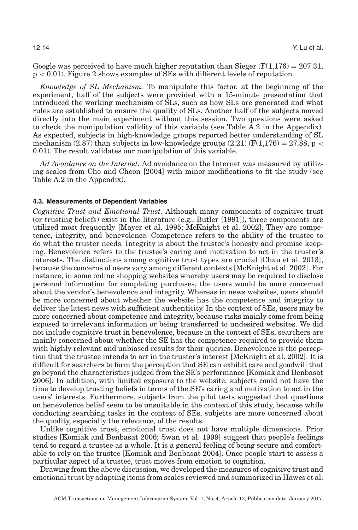Google was perceived to have much higher reputation than Sieger  $(F(1,176) = 207.31)$ , p < 0.01). Figure [2](#page-12-0) shows examples of SEs with different levels of reputation.

*Knowledge of SL Mechanism.* To manipulate this factor, at the beginning of the experiment, half of the subjects were provided with a 15-minute presentation that introduced the working mechanism of SLs, such as how SLs are generated and what rules are established to ensure the quality of SLs. Another half of the subjects moved directly into the main experiment without this session. Two questions were asked to check the manipulation validity of this variable (see [Table A.2](#page-26-1) in the Appendix). As expected, subjects in high-knowledge groups reported better understanding of SL mechanism (2.87) than subjects in low-knowledge groups (2.21)  $(F(1,176) = 27.88, p <$ 0.01). The result validates our manipulation of this variable.

*Ad Avoidance on the Internet.* Ad avoidance on the Internet was measured by utilizing scales from [Cho and Cheon \[2004\]](#page-28-17) with minor modifications to fit the study (see [Table A.2](#page-26-1) in the Appendix).

#### **4.3. Measurements of Dependent Variables**

*Cognitive Trust and Emotional Trust.* Although many components of cognitive trust (or trusting beliefs) exist in the literature (e.g., [Butler \[1991\]\)](#page-28-19), three components are utilized most frequently [\[Mayer et al. 1995;](#page-31-3) [McKnight et al. 2002\]](#page-31-7). They are competence, integrity, and benevolence. Competence refers to the ability of the trustee to do what the truster needs. Integrity is about the trustee's honesty and promise keeping. Benevolence refers to the trustee's caring and motivation to act in the truster's interests. The distinctions among cognitive trust types are crucial [\[Chau et al. 2013\]](#page-28-20), because the concerns of users vary among different contexts [\[McKnight et al. 2002\]](#page-31-7). For instance, in some online shopping websites whereby users may be required to disclose personal information for completing purchases, the users would be more concerned about the vendor's benevolence and integrity. Whereas in news websites, users should be more concerned about whether the website has the competence and integrity to deliver the latest news with sufficient authenticity. In the context of SEs, users may be more concerned about competence and integrity, because risks mainly come from being exposed to irrelevant information or being transferred to undesired websites. We did not include cognitive trust in benevolence, because in the context of SEs, searchers are mainly concerned about whether the SE has the competence required to provide them with highly relevant and unbiased results for their queries. Benevolence is the perception that the trustee intends to act in the truster's interest [\[McKnight et al. 2002\]](#page-31-7). It is difficult for searchers to form the perception that SE can exhibit care and goodwill that go beyond the characteristics judged from the SE's performance [\[Komiak and Benbasat](#page-30-3) [2006\]](#page-30-3). In addition, with limited exposure to the website, subjects could not have the time to develop trusting beliefs in terms of the SE's caring and motivation to act in the users' interests. Furthermore, subjects from the pilot tests suggested that questions on benevolence belief seem to be unsuitable in the context of this study, because while conducting searching tasks in the context of SEs, subjects are more concerned about the quality, especially the relevance, of the results.

Unlike cognitive trust, emotional trust does not have multiple dimensions. Prior studies [\[Komiak and Benbasat 2006;](#page-30-3) [Swan et al. 1999\]](#page-32-3) suggest that people's feelings tend to regard a trustee as a whole. It is a general feeling of being secure and comfortable to rely on the trustee [\[Komiak and Benbasat 2004\]](#page-30-4). Once people start to assess a particular aspect of a trustee, trust moves from emotion to cognition.

Drawing from the above discussion, we developed the measures of cognitive trust and emotional trust by adapting items from scales reviewed and summarized in Hawes et al.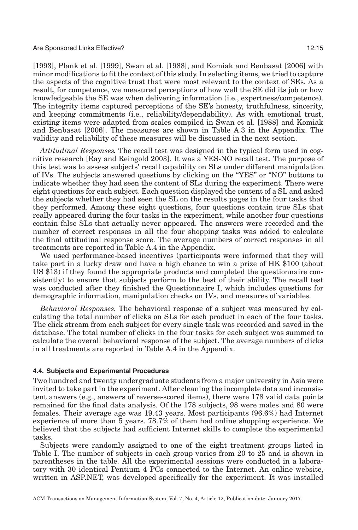[1993], [Plank et al. \[1999\],](#page-31-23) [Swan et al. \[1988\],](#page-32-14) and [Komiak and Benbasat \[2006\]](#page-30-3) with minor modifications to fit the context of this study. In selecting items, we tried to capture the aspects of the cognitive trust that were most relevant to the context of SEs. As a

result, for competence, we measured perceptions of how well the SE did its job or how knowledgeable the SE was when delivering information (i.e., expertness/competence). The integrity items captured perceptions of the SE's honesty, truthfulness, sincerity, and keeping commitments (i.e., reliability/dependability). As with emotional trust, existing items were adapted from scales compiled in [Swan et al. \[1988\]](#page-32-14) and [Komiak](#page-30-3) [and Benbasat \[2006\].](#page-30-3) The measures are shown in [Table A.3](#page-27-1) in the Appendix. The validity and reliability of these measures will be discussed in the next section.

*Attitudinal Responses.* The recall test was designed in the typical form used in cognitive research [\[Ray and Reingold 2003\]](#page-31-24). It was a YES-NO recall test. The purpose of this test was to assess subjects' recall capability on SLs under different manipulation of IVs. The subjects answered questions by clicking on the "YES" or "NO" buttons to indicate whether they had seen the content of SLs during the experiment. There were eight questions for each subject. Each question displayed the content of a SL and asked the subjects whether they had seen the SL on the results pages in the four tasks that they performed. Among these eight questions, four questions contain true SLs that really appeared during the four tasks in the experiment, while another four questions contain false SLs that actually never appeared. The answers were recorded and the number of correct responses in all the four shopping tasks was added to calculate the final attitudinal response score. The average numbers of correct responses in all treatments are reported in [Table A.4](#page-27-2) in the Appendix.

We used performance-based incentives (participants were informed that they will take part in a lucky draw and have a high chance to win a prize of HK \$100 (about US \$13) if they found the appropriate products and completed the questionnaire consistently) to ensure that subjects perform to the best of their ability. The recall test was conducted after they finished the Questionnaire I, which includes questions for demographic information, manipulation checks on IVs, and measures of variables.

*Behavioral Responses.* The behavioral response of a subject was measured by calculating the total number of clicks on SLs for each product in each of the four tasks. The click stream from each subject for every single task was recorded and saved in the database. The total number of clicks in the four tasks for each subject was summed to calculate the overall behavioral response of the subject. The average numbers of clicks in all treatments are reported in [Table A.4](#page-27-2) in the Appendix.

#### **4.4. Subjects and Experimental Procedures**

Two hundred and twenty undergraduate students from a major university in Asia were invited to take part in the experiment. After cleaning the incomplete data and inconsistent answers (e.g., answers of reverse-scored items), there were 178 valid data points remained for the final data analysis. Of the 178 subjects, 98 were males and 80 were females. Their average age was 19.43 years. Most participants (96.6%) had Internet experience of more than 5 years. 78.7% of them had online shopping experience. We believed that the subjects had sufficient Internet skills to complete the experimental tasks.

Subjects were randomly assigned to one of the eight treatment groups listed in Table [I.](#page-11-0) The number of subjects in each group varies from 20 to 25 and is shown in parentheses in the table. All the experimental sessions were conducted in a laboratory with 30 identical Pentium 4 PCs connected to the Internet. An online website, written in ASP.NET, was developed specifically for the experiment. It was installed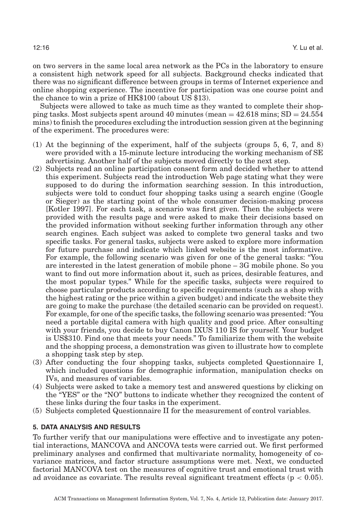on two servers in the same local area network as the PCs in the laboratory to ensure a consistent high network speed for all subjects. Background checks indicated that there was no significant difference between groups in terms of Internet experience and online shopping experience. The incentive for participation was one course point and the chance to win a prize of HK\$100 (about US \$13).

Subjects were allowed to take as much time as they wanted to complete their shopping tasks. Most subjects spent around 40 minutes (mean  $= 42.618$  mins;  $SD = 24.554$ ) mins) to finish the procedures excluding the introduction session given at the beginning of the experiment. The procedures were:

- (1) At the beginning of the experiment, half of the subjects (groups 5, 6, 7, and 8) were provided with a 15-minute lecture introducing the working mechanism of SE advertising. Another half of the subjects moved directly to the next step.
- (2) Subjects read an online participation consent form and decided whether to attend this experiment. Subjects read the introduction Web page stating what they were supposed to do during the information searching session. In this introduction, subjects were told to conduct four shopping tasks using a search engine (Google or Sieger) as the starting point of the whole consumer decision-making process [\[Kotler 1997\]](#page-30-24). For each task, a scenario was first given. Then the subjects were provided with the results page and were asked to make their decisions based on the provided information without seeking further information through any other search engines. Each subject was asked to complete two general tasks and two specific tasks. For general tasks, subjects were asked to explore more information for future purchase and indicate which linked website is the most informative. For example, the following scenario was given for one of the general tasks: "You are interested in the latest generation of mobile phone – 3G mobile phone. So you want to find out more information about it, such as prices, desirable features, and the most popular types." While for the specific tasks, subjects were required to choose particular products according to specific requirements (such as a shop with the highest rating or the price within a given budget) and indicate the website they are going to make the purchase (the detailed scenario can be provided on request). For example, for one of the specific tasks, the following scenario was presented: "You need a portable digital camera with high quality and good price. After consulting with your friends, you decide to buy Canon IXUS 110 IS for yourself. Your budget is US\$310. Find one that meets your needs." To familiarize them with the website and the shopping process, a demonstration was given to illustrate how to complete a shopping task step by step.
- (3) After conducting the four shopping tasks, subjects completed Questionnaire I, which included questions for demographic information, manipulation checks on IVs, and measures of variables.
- (4) Subjects were asked to take a memory test and answered questions by clicking on the "YES" or the "NO" buttons to indicate whether they recognized the content of these links during the four tasks in the experiment.
- (5) Subjects completed Questionnaire II for the measurement of control variables.

# **5. DATA ANALYSIS AND RESULTS**

To further verify that our manipulations were effective and to investigate any potential interactions, MANCOVA and ANCOVA tests were carried out. We first performed preliminary analyses and confirmed that multivariate normality, homogeneity of covariance matrices, and factor structure assumptions were met. Next, we conducted factorial MANCOVA test on the measures of cognitive trust and emotional trust with ad avoidance as covariate. The results reveal significant treatment effects ( $p < 0.05$ ).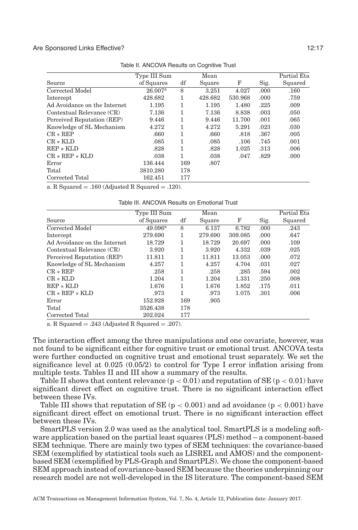<span id="page-16-0"></span>

|                              | Type III Sum        |     | Mean    |         |      | Partial Eta |
|------------------------------|---------------------|-----|---------|---------|------|-------------|
| Source                       | of Squares          | df  | Square  | F       | Sig. | Squared     |
| Corrected Model              | 26.007 <sup>a</sup> | 8   | 3.251   | 4.027   | .000 | .160        |
| Intercept                    | 428.682             | 1   | 428.682 | 530.968 | .000 | .759        |
| Ad Avoidance on the Internet | 1.195               | 1   | 1.195   | 1.480   | .225 | .009        |
| Contextual Relevance (CR)    | 7.136               | 1   | 7.136   | 8.838   | .003 | .050        |
| Perceived Reputation (REP)   | 9.446               | 1   | 9.446   | 11.700  | .001 | .065        |
| Knowledge of SL Mechanism    | 4.272               | 1   | 4.272   | 5.291   | .023 | .030        |
| $CR * REP$                   | .660                | 1   | .660    | .818    | .367 | .005        |
| $CR * KLD$                   | .085                | 1   | .085    | .106    | .745 | .001        |
| $REP * KLD$                  | .828                | 1   | .828    | 1.025   | .313 | .006        |
| $CR * REP * KLD$             | .038                | 1   | .038    | .047    | .829 | .000        |
| Error                        | 136.444             | 169 | .807    |         |      |             |
| Total                        | 3810.280            | 178 |         |         |      |             |
| Corrected Total              | 162.451             | 177 |         |         |      |             |

Table II. ANCOVA Results on Cognitive Trust

a. R Squared  $= .160$  (Adjusted R Squared  $= .120$ ).

Table III. ANCOVA Results on Emotional Trust

<span id="page-16-1"></span>

|                              | Type III Sum |     | Mean    |         |      | Partial Eta |
|------------------------------|--------------|-----|---------|---------|------|-------------|
| Source                       | of Squares   | df  | Square  | F       | Sig. | Squared     |
| Corrected Model              | 49.096a      | 8   | 6.137   | 6.782   | .000 | .243        |
| Intercept                    | 279.690      | 1   | 279.690 | 309.085 | .000 | .647        |
| Ad Avoidance on the Internet | 18.729       | 1   | 18.729  | 20.697  | .000 | .109        |
| Contextual Relevance (CR)    | 3.920        | 1   | 3.920   | 4.332   | .039 | .025        |
| Perceived Reputation (REP)   | 11.811       | 1   | 11.811  | 13.053  | .000 | .072        |
| Knowledge of SL Mechanism    | 4.257        | 1   | 4.257   | 4.704   | .031 | .027        |
| $CR * REP$                   | .258         | 1   | .258    | .285    | .594 | .002        |
| $CR * KLD$                   | 1.204        | 1   | 1.204   | 1.331   | .250 | .008        |
| $REP * KLD$                  | 1.676        | 1   | 1.676   | 1.852   | .175 | .011        |
| $CR * REP * KLD$             | .973         | 1   | .973    | 1.075   | .301 | .006        |
| Error                        | 152.928      | 169 | .905    |         |      |             |
| Total                        | 3526.438     | 178 |         |         |      |             |
| Corrected Total              | 202.024      | 177 |         |         |      |             |

a. R Squared = .243 (Adjusted R Squared = .207).

The interaction effect among the three manipulations and one covariate, however, was not found to be significant either for cognitive trust or emotional trust. ANCOVA tests were further conducted on cognitive trust and emotional trust separately. We set the significance level at 0.025 (0.05/2) to control for Type I error inflation arising from multiple tests. Tables [II](#page-16-0) and [III](#page-16-0) show a summary of the results.

Table [II](#page-16-0) shows that content relevance ( $p < 0.01$ ) and reputation of SE ( $p < 0.01$ ) have significant direct effect on cognitive trust. There is no significant interaction effect between these IVs.

Table [III](#page-16-1) shows that reputation of SE ( $p < 0.001$ ) and ad avoidance ( $p < 0.001$ ) have significant direct effect on emotional trust. There is no significant interaction effect between these IVs.

SmartPLS version 2.0 was used as the analytical tool. SmartPLS is a modeling software application based on the partial least squares (PLS) method – a component-based SEM technique. There are mainly two types of SEM techniques: the covariance-based SEM (exemplified by statistical tools such as LISREL and AMOS) and the componentbased SEM (exemplified by PLS-Graph and SmartPLS). We chose the component-based SEM approach instead of covariance-based SEM because the theories underpinning our research model are not well-developed in the IS literature. The component-based SEM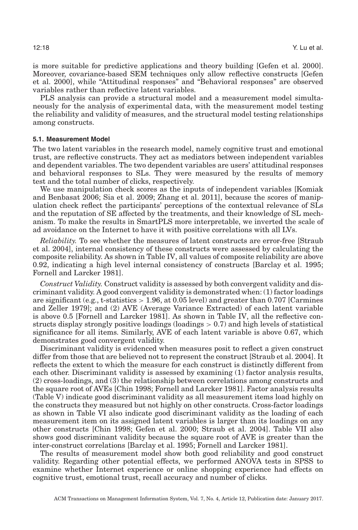is more suitable for predictive applications and theory building [\[Gefen et al. 2000\]](#page-29-23). Moreover, covariance-based SEM techniques only allow reflective constructs [\[Gefen](#page-29-23) [et al. 2000\]](#page-29-23), while "Attitudinal responses" and "Behavioral responses" are observed variables rather than reflective latent variables.

PLS analysis can provide a structural model and a measurement model simultaneously for the analysis of experimental data, with the measurement model testing the reliability and validity of measures, and the structural model testing relationships among constructs.

### **5.1. Measurement Model**

The two latent variables in the research model, namely cognitive trust and emotional trust, are reflective constructs. They act as mediators between independent variables and dependent variables. The two dependent variables are users' attitudinal responses and behavioral responses to SLs. They were measured by the results of memory test and the total number of clicks, respectively.

We use manipulation check scores as the inputs of independent variables [\[Komiak](#page-30-3) [and Benbasat 2006;](#page-30-3) [Sia et al. 2009;](#page-32-15) [Zhang et al. 2011\]](#page-32-16), because the scores of manipulation check reflect the participants' perceptions of the contextual relevance of SLs and the reputation of SE affected by the treatments, and their knowledge of SL mechanism. To make the results in SmartPLS more interpretable, we inverted the scale of ad avoidance on the Internet to have it with positive correlations with all LVs.

*Reliability.* To see whether the measures of latent constructs are error-free [\[Straub](#page-32-17) [et al. 2004\]](#page-32-17), internal consistency of these constructs were assessed by calculating the composite reliability. As shown in Table [IV,](#page-18-0) all values of composite reliability are above 0.92, indicating a high level internal consistency of constructs [\[Barclay et al. 1995;](#page-28-21) [Fornell and Larcker 1981\]](#page-29-24).

*Construct Validity.* Construct validity is assessed by both convergent validity and discriminant validity. A good convergent validity is demonstrated when: (1) factor loadings are significant (e.g., t-statistics  $> 1.96$ , at 0.05 level) and greater than 0.707 [\[Carmines](#page-28-22) [and Zeller 1979\]](#page-28-22); and (2) AVE (Average Variance Extracted) of each latent variable is above 0.5 [\[Fornell and Larcker 1981\]](#page-29-24). As shown in Table [IV,](#page-18-0) all the reflective constructs display strongly positive loadings (loadings  $> 0.7$ ) and high levels of statistical significance for all items. Similarly, AVE of each latent variable is above 0.67, which demonstrates good convergent validity.

Discriminant validity is evidenced when measures posit to reflect a given construct differ from those that are believed not to represent the construct [\[Straub et al. 2004\]](#page-32-17). It reflects the extent to which the measure for each construct is distinctly different from each other. Discriminant validity is assessed by examining (1) factor analysis results, (2) cross-loadings, and (3) the relationship between correlations among constructs and the square root of AVEs [\[Chin 1998;](#page-28-23) [Fornell and Larcker 1981\]](#page-29-24). Factor analysis results (Table [V\)](#page-19-0) indicate good discriminant validity as all measurement items load highly on the constructs they measured but not highly on other constructs. Cross-factor loadings as shown in Table [VI](#page-19-1) also indicate good discriminant validity as the loading of each measurement item on its assigned latent variables is larger than its loadings on any other constructs [\[Chin 1998;](#page-28-23) [Gefen et al. 2000;](#page-29-23) [Straub et al. 2004\]](#page-32-17). Table [VII](#page-20-0) also shows good discriminant validity because the square root of AVE is greater than the inter-construct correlations [\[Barclay et al. 1995;](#page-28-21) [Fornell and Larcker 1981\]](#page-29-24).

The results of measurement model show both good reliability and good construct validity. Regarding other potential effects, we performed ANOVA tests in SPSS to examine whether Internet experience or online shopping experience had effects on cognitive trust, emotional trust, recall accuracy and number of clicks.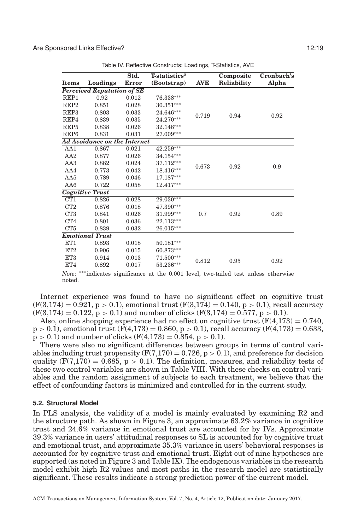<span id="page-18-0"></span>

|                  |                                   | Std.         | T-statistics <sup>a</sup> |            | Composite   | Cronbach's |
|------------------|-----------------------------------|--------------|---------------------------|------------|-------------|------------|
| Items            | Loadings                          | <b>Error</b> | (Bootstrap)               | <b>AVE</b> | Reliability | Alpha      |
|                  | <b>Perceived Reputation of SE</b> |              |                           |            |             |            |
| REP1             | 0.92                              | 0.012        | 76.338***                 |            |             |            |
| REP <sub>2</sub> | 0.851                             | 0.028        | $30.351***$               |            |             |            |
| REP <sub>3</sub> | 0.803                             | 0.033        | 24.646***                 | 0.719      | 0.94        | 0.92       |
| REP4             | 0.839                             | 0.035        | $24.270***$               |            |             |            |
| REP <sub>5</sub> | 0.838                             | 0.026        | 32.148***                 |            |             |            |
| REP6             | 0.831                             | 0.031        | 27.009***                 |            |             |            |
|                  | Ad Avoidance on the Internet      |              |                           |            |             |            |
| AA1              | 0.867                             | 0.021        | 42.259***                 |            |             |            |
| AA <sub>2</sub>  | 0.877                             | 0.026        | $34.154***$               |            |             |            |
| AA3              | 0.882                             | 0.024        | $37.112***$               |            | 0.92        |            |
| AA4              | 0.773                             | 0.042        | 18.416***                 | 0.673      |             | 0.9        |
| AA5              | 0.789                             | 0.046        | $17.187***$               |            |             |            |
| AA6              | 0.722                             | 0.058        | 12.417***                 |            |             |            |
|                  | <b>Cognitive Trust</b>            |              |                           |            |             |            |
| CT1              | 0.826                             | 0.028        | $29.030***$               |            |             |            |
| CT2              | 0.876                             | 0.018        | 47.390***                 |            |             |            |
| CT <sub>3</sub>  | 0.841                             | 0.026        | $31.999***$               | 0.7        | 0.92        | 0.89       |
| CT4              | 0.801                             | 0.036        | 22.113***                 |            |             |            |
| CT <sub>5</sub>  | 0.839                             | 0.032        | 26.015***                 |            |             |            |
|                  | <b>Emotional Trust</b>            |              |                           |            |             |            |
| ET1              | 0.893                             | 0.018        | $50.181***$               |            |             |            |
| ET2              | 0.906                             | 0.015        | $60.873***$               |            |             |            |
| ET3              | 0.914                             | 0.013        | 71.500***                 |            |             |            |
| ET4              | 0.892                             | 0.017        | $53.236***$               | 0.812      | 0.95        | 0.92       |

Table IV. Reflective Constructs: Loadings, T-Statistics, AVE

*Note*: \*\*\*indicates significance at the 0.001 level, two-tailed test unless otherwise noted.

Internet experience was found to have no significant effect on cognitive trust  $(F(3,174) = 0.921, p > 0.1)$ , emotional trust  $(F(3,174) = 0.140, p > 0.1)$ , recall accuracy  $(F(3,174) = 0.122, p > 0.1)$  and number of clicks  $(F(3,174) = 0.577, p > 0.1)$ .

Also, online shopping experience had no effect on cognitive trust  $(F(4,173) = 0.740$ ,  $p > 0.1$ ), emotional trust (F(4,173) = 0.860,  $p > 0.1$ ), recall accuracy (F(4,173) = 0.633,  $p > 0.1$ ) and number of clicks ( $F(4,173) = 0.854$ ,  $p > 0.1$ ).

There were also no significant differences between groups in terms of control variables including trust propensity  $(F(7,170) = 0.726, p > 0.1)$ , and preference for decision quality  $(F(7,170) = 0.685, p > 0.1)$ . The definition, measures, and reliability tests of these two control variables are shown in Table [VIII.](#page-20-1) With these checks on control variables and the random assignment of subjects to each treatment, we believe that the effect of confounding factors is minimized and controlled for in the current study.

#### **5.2. Structural Model**

In PLS analysis, the validity of a model is mainly evaluated by examining R2 and the structure path. As shown in Figure [3,](#page-20-2) an approximate 63.2% variance in cognitive trust and 24.6% variance in emotional trust are accounted for by IVs. Approximate 39.3% variance in users' attitudinal responses to SL is accounted for by cognitive trust and emotional trust, and approximate 35.3% variance in users' behavioral responses is accounted for by cognitive trust and emotional trust. Eight out of nine hypotheses are supported (as noted in Figure [3](#page-20-2) and Table [IX\)](#page-21-0). The endogenous variables in the research model exhibit high R2 values and most paths in the research model are statistically significant. These results indicate a strong prediction power of the current model.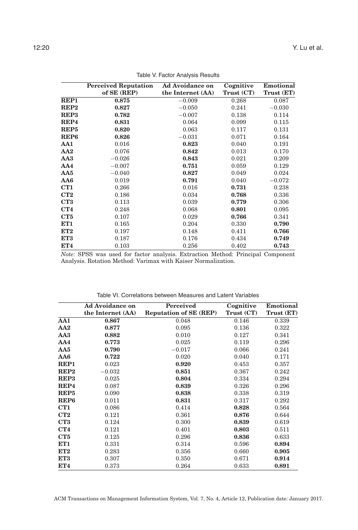<span id="page-19-0"></span>

|                  | <b>Perceived Reputation</b> | <b>Ad Avoidance on</b> | Cognitive  | <b>Emotional</b> |
|------------------|-----------------------------|------------------------|------------|------------------|
|                  | of SE (REP)                 | the Internet (AA)      | Trust (CT) | Trust (ET)       |
| REP1             | 0.875                       | $-0.009$               | 0.268      | 0.087            |
| REP <sub>2</sub> | 0.827                       | $-0.050$               | 0.241      | $-0.030$         |
| REP <sub>3</sub> | 0.782                       | $-0.007$               | 0.138      | 0.114            |
| REP4             | 0.831                       | 0.064                  | 0.099      | 0.115            |
| REP5             | 0.820                       | 0.063                  | 0.117      | 0.131            |
| REP6             | 0.826                       | $-0.031$               | 0.071      | 0.164            |
| AA1              | 0.016                       | 0.823                  | 0.040      | 0.191            |
| AA2              | 0.076                       | 0.842                  | 0.013      | 0.170            |
| AA3              | $-0.026$                    | 0.843                  | 0.021      | 0.209            |
| AA4              | $-0.007$                    | 0.751                  | 0.059      | 0.129            |
| AA5              | $-0.040$                    | 0.827                  | 0.049      | 0.024            |
| AA6              | 0.019                       | 0.791                  | 0.040      | $-0.072$         |
| CT1              | 0.266                       | 0.016                  | 0.731      | 0.238            |
| CT2              | 0.186                       | 0.034                  | 0.768      | 0.336            |
| CT <sub>3</sub>  | 0.113                       | 0.039                  | 0.779      | 0.306            |
| CT4              | 0.248                       | 0.068                  | 0.801      | 0.095            |
| CT5              | 0.107                       | 0.029                  | 0.766      | 0.341            |
| ET1              | 0.165                       | 0.204                  | 0.330      | 0.790            |
| ET2              | 0.197                       | 0.148                  | 0.411      | 0.766            |
| ET3              | 0.187                       | 0.176                  | 0.434      | 0.749            |
| ET4              | 0.103                       | 0.256                  | 0.402      | 0.743            |

*Note*: SPSS was used for factor analysis. Extraction Method: Principal Component Analysis. Rotation Method: Varimax with Kaiser Normalization.

<span id="page-19-1"></span>

|                  | <b>Ad Avoidance on</b><br>the Internet (AA) | <b>Perceived</b><br><b>Reputation of SE (REP)</b> | Cognitive<br>Trust (CT) | <b>Emotional</b><br>Trust (ET) |
|------------------|---------------------------------------------|---------------------------------------------------|-------------------------|--------------------------------|
| AA1              | 0.867                                       | 0.048                                             | 0.146                   | 0.339                          |
| AA2              | 0.877                                       | 0.095                                             | 0.136                   | 0.322                          |
| AA3              | 0.882                                       | 0.010                                             | 0.127                   | 0.341                          |
| AA4              | 0.773                                       | 0.025                                             | 0.119                   | 0.296                          |
| AA5              | 0.790                                       | $-0.017$                                          | 0.066                   | 0.241                          |
| AA6              | 0.722                                       | 0.020                                             | 0.040                   | 0.171                          |
| REP1             | 0.023                                       | 0.920                                             | 0.453                   | 0.357                          |
| REP <sub>2</sub> | $-0.032$                                    | 0.851                                             | 0.367                   | 0.242                          |
| REP <sub>3</sub> | 0.025                                       | 0.804                                             | 0.334                   | 0.294                          |
| REP <sub>4</sub> | 0.087                                       | 0.839                                             | 0.326                   | 0.296                          |
| REP5             | 0.090                                       | 0.838                                             | 0.338                   | 0.319                          |
| REP6             | 0.011                                       | 0.831                                             | 0.317                   | 0.292                          |
| CT1              | 0.086                                       | 0.414                                             | 0.828                   | 0.564                          |
| CT2              | 0.121                                       | 0.361                                             | 0.876                   | 0.644                          |
| CT <sub>3</sub>  | 0.124                                       | 0.300                                             | 0.839                   | 0.619                          |
| CT4              | 0.121                                       | 0.401                                             | 0.803                   | 0.511                          |
| CT5              | 0.125                                       | 0.296                                             | 0.836                   | 0.633                          |
| ET <sub>1</sub>  | 0.331                                       | 0.314                                             | 0.596                   | 0.894                          |
| ET2              | 0.283                                       | 0.356                                             | 0.660                   | 0.905                          |
| ET3              | 0.307                                       | 0.350                                             | 0.671                   | 0.914                          |
| ET4              | 0.373                                       | 0.264                                             | 0.633                   | 0.891                          |

Table VI. Correlations between Measures and Latent Variables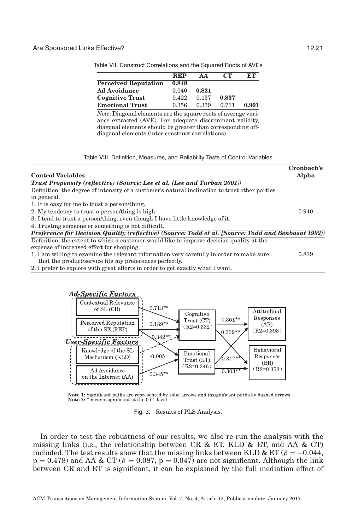|                             | <b>REP</b> | AA    | CT    | EТ    |
|-----------------------------|------------|-------|-------|-------|
| <b>Perceived Reputation</b> | 0.848      |       |       |       |
| <b>Ad Avoidance</b>         | 0.040      | 0.821 |       |       |
| <b>Cognitive Trust</b>      | 0.422      | 0.137 | 0.837 |       |
| <b>Emotional Trust</b>      | 0.356      | 0.359 | 0.711 | 0.901 |

<span id="page-20-0"></span>Table VII. Construct Correlations and the Squared Roots of AVEs

*Note*: Diagonal elements are the square roots of average variance extracted (AVE). For adequate discriminant validity, diagonal elements should be greater than corresponding offdiagonal elements (inter-construct correlations).

Table VIII. Definition, Measures, and Reliability Tests of Control Variables

<span id="page-20-1"></span>

| <b>Control Variables</b>                                                                            | Cronbach's<br>Alpha |
|-----------------------------------------------------------------------------------------------------|---------------------|
| Trust Propensity (reflective) (Source: Lee et al. [Lee and Turban 2001])                            |                     |
| Definition: the degree of intensity of a customer's natural inclination to trust other parties      |                     |
| in general.                                                                                         |                     |
| 1. It is easy for me to trust a person/thing.                                                       |                     |
| 2. My tendency to trust a person/thing is high.                                                     | 0.940               |
| 3. I tend to trust a person/thing, even though I have little knowledge of it.                       |                     |
| 4. Trusting someone or something is not difficult.                                                  |                     |
| Preference for Decision Quality (reflective) (Source: Todd et al. [Source: Todd and Benbasat 1992]) |                     |
| Definition: the extent to which a customer would like to improve decision quality at the            |                     |
| expense of increased effort for shopping.                                                           |                     |
| 1. I am willing to examine the relevant information very carefully in order to make sure            | 0.839               |
| that the product/service fits my preferences perfectly.                                             |                     |
|                                                                                                     |                     |

<span id="page-20-2"></span>2. I prefer to explore with great efforts in order to get exactly what I want.



Note 1: Significant paths are represented by solid arrows and insignificant paths by dashed arrows.<br>Note 2: " means significant at the 0.01 level.

Fig. 3. Results of PLS Analysis.

In order to test the robustness of our results, we also re-run the analysis with the missing links (i.e., the relationship between CR & ET, KLD & ET, and AA & CT) included. The test results show that the missing links between KLD & ET ( $\beta = -0.044$ ,  $p = 0.478$ ) and AA & CT ( $\beta = 0.087$ ,  $p = 0.047$ ) are not significant. Although the link between CR and ET is significant, it can be explained by the full mediation effect of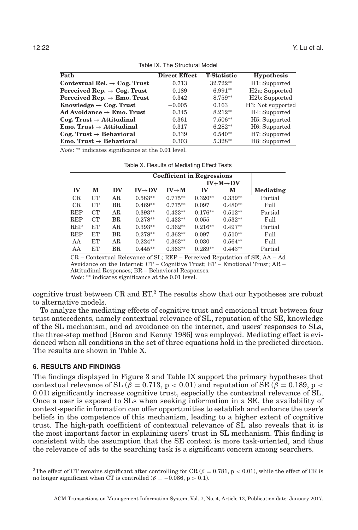<span id="page-21-0"></span>

| Path                                     | <b>Direct Effect</b> | <b>T-Statistic</b> | <b>Hypothesis</b>              |
|------------------------------------------|----------------------|--------------------|--------------------------------|
| Contextual Rel. $\rightarrow$ Cog. Trust | 0.713                | 32.722**           | H1: Supported                  |
| Perceived Rep. $\rightarrow$ Cog. Trust  | 0.189                | $6.991**$          | H <sub>2</sub> a: Supported    |
| Perceived Rep. $\rightarrow$ Emo. Trust  | 0.342                | $8.759**$          | H <sub>2</sub> b: Supported    |
| Knowledge $\rightarrow$ Cog. Trust       | $-0.005$             | 0.163              | H <sub>3</sub> : Not supported |
| Ad Avoidance $\rightarrow$ Emo. Trust    | 0.345                | $8.212**$          | H4: Supported                  |
| $Co$ g. Trust $\rightarrow$ Attitudinal  | 0.361                | $7.506**$          | H <sub>5</sub> : Supported     |
| Emo. Trust $\rightarrow$ Attitudinal     | 0.317                | $6.282**$          | H6: Supported                  |
| $Cog$ . Trust $\rightarrow$ Behavioral   | 0.339                | $6.540**$          | H7: Supported                  |
| Emo. Trust $\rightarrow$ Behavioral      | 0.303                | $5.328**$          | H8: Supported                  |

Table IX. The Structural Model

<span id="page-21-2"></span>*Note*: ∗∗ indicates significance at the 0.01 level.

|            |    |                        |                    | <b>Coefficient in Regressions</b> |           |                       |                  |  |
|------------|----|------------------------|--------------------|-----------------------------------|-----------|-----------------------|------------------|--|
|            |    |                        |                    |                                   |           | $IV+M \rightarrow DV$ |                  |  |
| IV         | М  | $\mathbf{D}\mathbf{V}$ | $IV\rightarrow DV$ | $IV \rightarrow M$                | IV        | м                     | <b>Mediating</b> |  |
| CR         | CT | AR                     | $0.583**$          | $0.775**$                         | $0.320**$ | $0.339**$             | Partial          |  |
| CR         | CT | ΒR                     | $0.469**$          | $0.775**$                         | 0.097     | $0.480**$             | Full             |  |
| <b>REP</b> | CT | AR                     | $0.393**$          | $0.433**$                         | $0.176**$ | $0.512**$             | Partial          |  |
| <b>REP</b> | CT | <b>BR</b>              | $0.278**$          | $0.433**$                         | 0.055     | $0.532**$             | Full             |  |
| <b>REP</b> | ET | AR                     | $0.393**$          | $0.362**$                         | $0.216**$ | $0.497**$             | Partial          |  |
| <b>REP</b> | ET | ΒR                     | $0.278**$          | $0.362**$                         | 0.097     | $0.510**$             | Full             |  |
| AA         | ET | AR                     | $0.224**$          | $0.363**$                         | 0.030     | $0.564**$             | Full             |  |
| AA         | ET | ΒR                     | $0.445**$          | $0.363**$                         | $0.289**$ | $0.443**$             | Partial          |  |

Table X. Results of Mediating Effect Tests

CR – Contextual Relevance of SL; REP – Perceived Reputation of SE; AA – Ad Avoidance on the Internet; CT – Cognitive Trust; ET – Emotional Trust; AR – Attitudinal Responses; BR – Behavioral Responses.

*Note*: \*\* indicates significance at the 0.01 level.

cognitive trust between CR and ET.[2](#page-21-1) The results show that our hypotheses are robust to alternative models.

To analyze the mediating effects of cognitive trust and emotional trust between four trust antecedents, namely contextual relevance of SL, reputation of the SE, knowledge of the SL mechanism, and ad avoidance on the internet, and users' responses to SLs, the three-step method [\[Baron and Kenny 1986\]](#page-28-24) was employed. Mediating effect is evidenced when all conditions in the set of three equations hold in the predicted direction. The results are shown in Table [X.](#page-21-2)

### **6. RESULTS AND FINDINGS**

The findings displayed in Figure [3](#page-20-2) and Table [IX](#page-21-0) support the primary hypotheses that contextual relevance of SL ( $\beta = 0.713$ , p < 0.01) and reputation of SE ( $\beta = 0.189$ , p < 0.01) significantly increase cognitive trust, especially the contextual relevance of SL. Once a user is exposed to SLs when seeking information in a SE, the availability of context-specific information can offer opportunities to establish and enhance the user's beliefs in the competence of this mechanism, leading to a higher extent of cognitive trust. The high-path coefficient of contextual relevance of SL also reveals that it is the most important factor in explaining users' trust in SL mechanism. This finding is consistent with the assumption that the SE context is more task-oriented, and thus the relevance of ads to the searching task is a significant concern among searchers.

<span id="page-21-1"></span><sup>&</sup>lt;sup>2</sup>The effect of CT remains significant after controlling for CR ( $\beta = 0.781$ , p < 0.01), while the effect of CR is no longer significant when CT is controlled ( $\beta = -0.086$ , p > 0.1).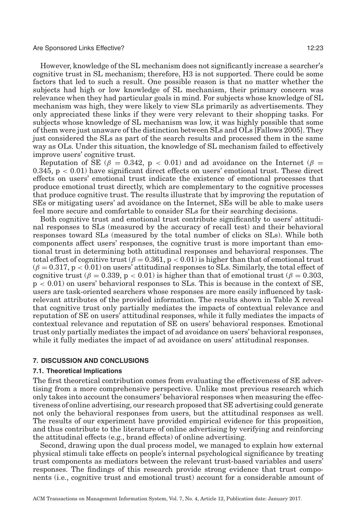However, knowledge of the SL mechanism does not significantly increase a searcher's cognitive trust in SL mechanism; therefore, H3 is not supported. There could be some factors that led to such a result. One possible reason is that no matter whether the subjects had high or low knowledge of SL mechanism, their primary concern was relevance when they had particular goals in mind. For subjects whose knowledge of SL mechanism was high, they were likely to view SLs primarily as advertisements. They only appreciated these links if they were very relevant to their shopping tasks. For subjects whose knowledge of SL mechanism was low, it was highly possible that some of them were just unaware of the distinction between SLs and OLs [\[Fallows 2005\]](#page-29-25). They just considered the SLs as part of the search results and processed them in the same way as OLs. Under this situation, the knowledge of SL mechanism failed to effectively improve users' cognitive trust.

Reputation of SE ( $\beta = 0.342$ , p < 0.01) and ad avoidance on the Internet ( $\beta =$  $0.345$ ,  $p < 0.01$ ) have significant direct effects on users' emotional trust. These direct effects on users' emotional trust indicate the existence of emotional processes that produce emotional trust directly, which are complementary to the cognitive processes that produce cognitive trust. The results illustrate that by improving the reputation of SEs or mitigating users' ad avoidance on the Internet, SEs will be able to make users feel more secure and comfortable to consider SLs for their searching decisions.

Both cognitive trust and emotional trust contribute significantly to users' attitudinal responses to SLs (measured by the accuracy of recall test) and their behavioral responses toward SLs (measured by the total number of clicks on SLs). While both components affect users' responses, the cognitive trust is more important than emotional trust in determining both attitudinal responses and behavioral responses. The total effect of cognitive trust ( $\beta = 0.361$ , p < 0.01) is higher than that of emotional trust  $(\beta = 0.317, p < 0.01)$  on users' attitudinal responses to SLs. Similarly, the total effect of cognitive trust ( $\beta = 0.339$ , p < 0.01) is higher than that of emotional trust ( $\beta = 0.303$ ,  $p < 0.01$ ) on users' behavioral responses to SLs. This is because in the context of SE, users are task-oriented searchers whose responses are more easily influenced by taskrelevant attributes of the provided information. The results shown in Table [X](#page-21-2) reveal that cognitive trust only partially mediates the impacts of contextual relevance and reputation of SE on users' attitudinal responses, while it fully mediates the impacts of contextual relevance and reputation of SE on users' behavioral responses. Emotional trust only partially mediates the impact of ad avoidance on users' behavioral responses, while it fully mediates the impact of ad avoidance on users' attitudinal responses.

#### **7. DISCUSSION AND CONCLUSIONS**

#### **7.1. Theoretical Implications**

The first theoretical contribution comes from evaluating the effectiveness of SE advertising from a more comprehensive perspective. Unlike most previous research which only takes into account the consumers' behavioral responses when measuring the effectiveness of online advertising, our research proposed that SE advertising could generate not only the behavioral responses from users, but the attitudinal responses as well. The results of our experiment have provided empirical evidence for this proposition, and thus contribute to the literature of online advertising by verifying and reinforcing the attitudinal effects (e.g., brand effects) of online advertising.

Second, drawing upon the dual process model, we managed to explain how external physical stimuli take effects on people's internal psychological significance by treating trust components as mediators between the relevant trust-based variables and users' responses. The findings of this research provide strong evidence that trust components (i.e., cognitive trust and emotional trust) account for a considerable amount of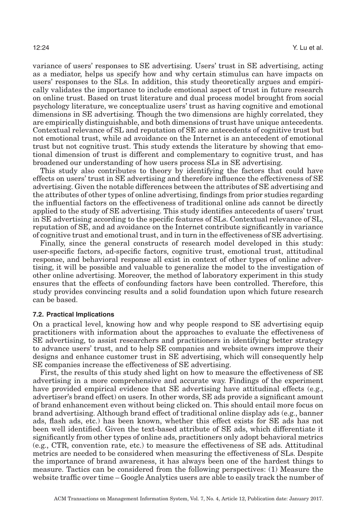variance of users' responses to SE advertising. Users' trust in SE advertising, acting as a mediator, helps us specify how and why certain stimulus can have impacts on users' responses to the SLs. In addition, this study theoretically argues and empirically validates the importance to include emotional aspect of trust in future research on online trust. Based on trust literature and dual process model brought from social psychology literature, we conceptualize users' trust as having cognitive and emotional dimensions in SE advertising. Though the two dimensions are highly correlated, they are empirically distinguishable, and both dimensions of trust have unique antecedents. Contextual relevance of SL and reputation of SE are antecedents of cognitive trust but not emotional trust, while ad avoidance on the Internet is an antecedent of emotional trust but not cognitive trust. This study extends the literature by showing that emotional dimension of trust is different and complementary to cognitive trust, and has broadened our understanding of how users process SLs in SE advertising.

This study also contributes to theory by identifying the factors that could have effects on users' trust in SE advertising and therefore influence the effectiveness of SE advertising. Given the notable differences between the attributes of SE advertising and the attributes of other types of online advertising, findings from prior studies regarding the influential factors on the effectiveness of traditional online ads cannot be directly applied to the study of SE advertising. This study identifies antecedents of users' trust in SE advertising according to the specific features of SLs. Contextual relevance of SL, reputation of SE, and ad avoidance on the Internet contribute significantly in variance of cognitive trust and emotional trust, and in turn in the effectiveness of SE advertising.

Finally, since the general constructs of research model developed in this study: user-specific factors, ad-specific factors, cognitive trust, emotional trust, attitudinal response, and behavioral response all exist in context of other types of online advertising, it will be possible and valuable to generalize the model to the investigation of other online advertising. Moreover, the method of laboratory experiment in this study ensures that the effects of confounding factors have been controlled. Therefore, this study provides convincing results and a solid foundation upon which future research can be based.

#### **7.2. Practical Implications**

On a practical level, knowing how and why people respond to SE advertising equip practitioners with information about the approaches to evaluate the effectiveness of SE advertising, to assist researchers and practitioners in identifying better strategy to advance users' trust, and to help SE companies and website owners improve their designs and enhance customer trust in SE advertising, which will consequently help SE companies increase the effectiveness of SE advertising.

First, the results of this study shed light on how to measure the effectiveness of SE advertising in a more comprehensive and accurate way. Findings of the experiment have provided empirical evidence that SE advertising have attitudinal effects (e.g., advertiser's brand effect) on users. In other words, SE ads provide a significant amount of brand enhancement even without being clicked on. This should entail more focus on brand advertising. Although brand effect of traditional online display ads (e.g., banner ads, flash ads, etc.) has been known, whether this effect exists for SE ads has not been well identified. Given the text-based attribute of SE ads, which differentiate it significantly from other types of online ads, practitioners only adopt behavioral metrics (e.g., CTR, convention rate, etc.) to measure the effectiveness of SE ads. Attitudinal metrics are needed to be considered when measuring the effectiveness of SLs. Despite the importance of brand awareness, it has always been one of the hardest things to measure. Tactics can be considered from the following perspectives: (1) Measure the website traffic over time – Google Analytics users are able to easily track the number of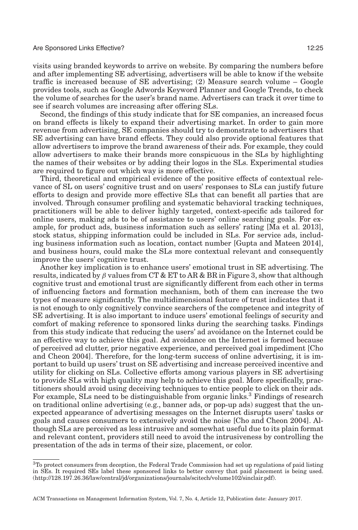visits using branded keywords to arrive on website. By comparing the numbers before and after implementing SE advertising, advertisers will be able to know if the website traffic is increased because of SE advertising; (2) Measure search volume – Google provides tools, such as Google Adwords Keyword Planner and Google Trends, to check the volume of searches for the user's brand name. Advertisers can track it over time to see if search volumes are increasing after offering SLs.

Second, the findings of this study indicate that for SE companies, an increased focus on brand effects is likely to expand their advertising market. In order to gain more revenue from advertising, SE companies should try to demonstrate to advertisers that SE advertising can have brand effects. They could also provide optional features that allow advertisers to improve the brand awareness of their ads. For example, they could allow advertisers to make their brands more conspicuous in the SLs by highlighting the names of their websites or by adding their logos in the SLs. Experimental studies are required to figure out which way is more effective.

Third, theoretical and empirical evidence of the positive effects of contextual relevance of SL on users' cognitive trust and on users' responses to SLs can justify future efforts to design and provide more effective SLs that can benefit all parties that are involved. Through consumer profiling and systematic behavioral tracking techniques, practitioners will be able to deliver highly targeted, context-specific ads tailored for online users, making ads to be of assistance to users' online searching goals. For example, for product ads, business information such as sellers' rating [Ma et al. 2013], stock status, shipping information could be included in SLs. For service ads, including business information such as location, contact number [\[Gupta and Mateen 2014\]](#page-29-19), and business hours, could make the SLs more contextual relevant and consequently improve the users' cognitive trust.

Another key implication is to enhance users' emotional trust in SE advertising. The results, indicated by β values from CT & ET to AR & BR in Figure [3,](#page-20-2) show that although cognitive trust and emotional trust are significantly different from each other in terms of influencing factors and formation mechanism, both of them can increase the two types of measure significantly. The multidimensional feature of trust indicates that it is not enough to only cognitively convince searchers of the competence and integrity of SE advertising. It is also important to induce users' emotional feelings of security and comfort of making reference to sponsored links during the searching tasks. Findings from this study indicate that reducing the users' ad avoidance on the Internet could be an effective way to achieve this goal. Ad avoidance on the Internet is formed because of perceived ad clutter, prior negative experience, and perceived goal impediment [\[Cho](#page-28-17) [and Cheon 2004\]](#page-28-17). Therefore, for the long-term success of online advertising, it is important to build up users' trust on SE advertising and increase perceived incentive and utility for clicking on SLs. Collective efforts among various players in SE advertising to provide SLs with high quality may help to achieve this goal. More specifically, practitioners should avoid using deceiving techniques to entice people to click on their ads. For example, SLs need to be distinguishable from organic links[.3](#page-24-0) Findings of research on traditional online advertising (e.g., banner ads, or pop-up ads) suggest that the unexpected appearance of advertising messages on the Internet disrupts users' tasks or goals and causes consumers to extensively avoid the noise [\[Cho and Cheon 2004\]](#page-28-17). Although SLs are perceived as less intrusive and somewhat useful due to its plain format and relevant content, providers still need to avoid the intrusiveness by controlling the presentation of the ads in terms of their size, placement, or color.

<span id="page-24-0"></span><sup>&</sup>lt;sup>3</sup>To protect consumers from deception, the Federal Trade Commission had set up regulations of paid listing in SEs. It required SEs label these sponsored links to better convey that paid placement is being used. (http://128.197.26.36/law/central/jd/organizations/journals/scitech/volume102/sinclair.pdf).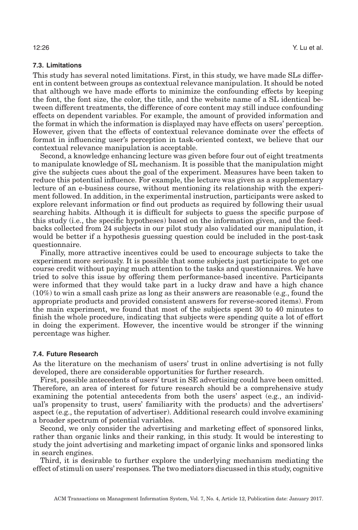### **7.3. Limitations**

This study has several noted limitations. First, in this study, we have made SLs different in content between groups as contextual relevance manipulation. It should be noted that although we have made efforts to minimize the confounding effects by keeping the font, the font size, the color, the title, and the website name of a SL identical between different treatments, the difference of core content may still induce confounding effects on dependent variables. For example, the amount of provided information and the format in which the information is displayed may have effects on users' perception. However, given that the effects of contextual relevance dominate over the effects of format in influencing user's perception in task-oriented context, we believe that our contextual relevance manipulation is acceptable.

Second, a knowledge enhancing lecture was given before four out of eight treatments to manipulate knowledge of SL mechanism. It is possible that the manipulation might give the subjects cues about the goal of the experiment. Measures have been taken to reduce this potential influence. For example, the lecture was given as a supplementary lecture of an e-business course, without mentioning its relationship with the experiment followed. In addition, in the experimental instruction, participants were asked to explore relevant information or find out products as required by following their usual searching habits. Although it is difficult for subjects to guess the specific purpose of this study (i.e., the specific hypotheses) based on the information given, and the feedbacks collected from 24 subjects in our pilot study also validated our manipulation, it would be better if a hypothesis guessing question could be included in the post-task questionnaire.

Finally, more attractive incentives could be used to encourage subjects to take the experiment more seriously. It is possible that some subjects just participate to get one course credit without paying much attention to the tasks and questionnaires. We have tried to solve this issue by offering them performance-based incentive. Participants were informed that they would take part in a lucky draw and have a high chance (10%) to win a small cash prize as long as their answers are reasonable (e.g., found the appropriate products and provided consistent answers for reverse-scored items). From the main experiment, we found that most of the subjects spent 30 to 40 minutes to finish the whole procedure, indicating that subjects were spending quite a lot of effort in doing the experiment. However, the incentive would be stronger if the winning percentage was higher.

### **7.4. Future Research**

As the literature on the mechanism of users' trust in online advertising is not fully developed, there are considerable opportunities for further research.

First, possible antecedents of users' trust in SE advertising could have been omitted. Therefore, an area of interest for future research should be a comprehensive study examining the potential antecedents from both the users' aspect (e.g., an individual's propensity to trust, users' familiarity with the products) and the advertisers' aspect (e.g., the reputation of advertiser). Additional research could involve examining a broader spectrum of potential variables.

Second, we only consider the advertising and marketing effect of sponsored links, rather than organic links and their ranking, in this study. It would be interesting to study the joint advertising and marketing impact of organic links and sponsored links in search engines.

Third, it is desirable to further explore the underlying mechanism mediating the effect of stimuli on users' responses. The two mediators discussed in this study, cognitive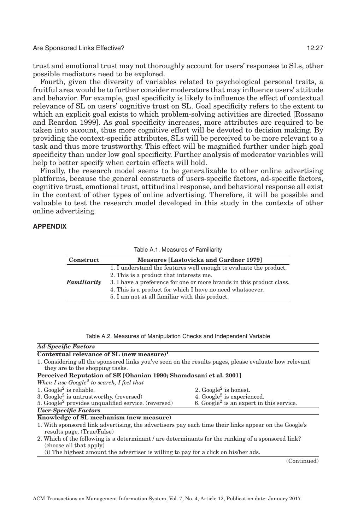trust and emotional trust may not thoroughly account for users' responses to SLs, other possible mediators need to be explored.

Fourth, given the diversity of variables related to psychological personal traits, a fruitful area would be to further consider moderators that may influence users' attitude and behavior. For example, goal specificity is likely to influence the effect of contextual relevance of SL on users' cognitive trust on SL. Goal specificity refers to the extent to which an explicit goal exists to which problem-solving activities are directed [\[Rossano](#page-32-18) [and Reardon 1999\]](#page-32-18). As goal specificity increases, more attributes are required to be taken into account, thus more cognitive effort will be devoted to decision making. By providing the context-specific attributes, SLs will be perceived to be more relevant to a task and thus more trustworthy. This effect will be magnified further under high goal specificity than under low goal specificity. Further analysis of moderator variables will help to better specify when certain effects will hold.

Finally, the research model seems to be generalizable to other online advertising platforms, because the general constructs of users-specific factors, ad-specific factors, cognitive trust, emotional trust, attitudinal response, and behavioral response all exist in the context of other types of online advertising. Therefore, it will be possible and valuable to test the research model developed in this study in the contexts of other online advertising.

## <span id="page-26-0"></span>**APPENDIX**

| Construct   | <b>Measures [Lastovicka and Gardner 1979]</b>                        |  |  |  |  |
|-------------|----------------------------------------------------------------------|--|--|--|--|
|             | 1. I understand the features well enough to evaluate the product.    |  |  |  |  |
|             | 2. This is a product that interests me.                              |  |  |  |  |
| Familiarity | 3. I have a preference for one or more brands in this product class. |  |  |  |  |
|             | 4. This is a product for which I have no need whatsoever.            |  |  |  |  |
|             | 5. I am not at all familiar with this product.                       |  |  |  |  |
|             |                                                                      |  |  |  |  |

Table A.1. Measures of Familiarity

| Table A.2. Measures of Manipulation Checks and Independent Variable |  |  |  |  |
|---------------------------------------------------------------------|--|--|--|--|
|---------------------------------------------------------------------|--|--|--|--|

<span id="page-26-1"></span>

| <b>Ad-Specific Factors</b>                                                                            |                                                      |  |  |  |
|-------------------------------------------------------------------------------------------------------|------------------------------------------------------|--|--|--|
| Contextual relevance of SL (new measure) <sup>1</sup>                                                 |                                                      |  |  |  |
| 1. Considering all the sponsored links you've seen on the results pages, please evaluate how relevant |                                                      |  |  |  |
| they are to the shopping tasks.                                                                       |                                                      |  |  |  |
| Perceived Reputation of SE [Ohanian 1990; Shamdasani et al. 2001]                                     |                                                      |  |  |  |
| When $I$ use Google <sup>2</sup> to search, $I$ feel that                                             |                                                      |  |  |  |
| 1. Google <sup>2</sup> is reliable.                                                                   | 2. Google <sup>2</sup> is honest.                    |  |  |  |
| 3. $Google2$ is untrustworthy. (reversed)                                                             | 4. Google <sup>2</sup> is experienced.               |  |  |  |
| 5. Google <sup>2</sup> provides unqualified service. (reversed)                                       | 6. Google <sup>2</sup> is an expert in this service. |  |  |  |
| <b>User-Specific Factors</b>                                                                          |                                                      |  |  |  |
| Knowledge of SL mechanism (new measure)                                                               |                                                      |  |  |  |
| 1. With sponsored link advertising, the advertisers pay each time their links appear on the Google's  |                                                      |  |  |  |
| results page. (True/False)                                                                            |                                                      |  |  |  |
| 2. Which of the following is a determinant / are determinants for the ranking of a sponsored link?    |                                                      |  |  |  |
| (choose all that apply)                                                                               |                                                      |  |  |  |
| (i) The highest amount the advertiser is willing to pay for a click on his/her ads.                   |                                                      |  |  |  |

(Continued)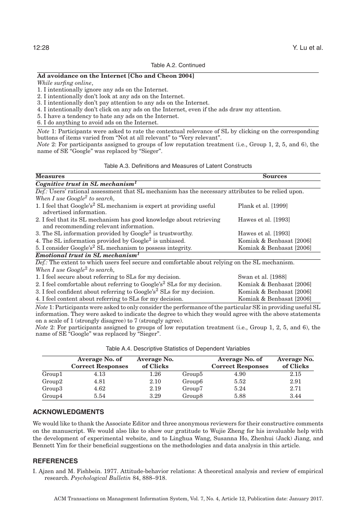#### **Ad avoidance on the Internet [\[Cho and Cheon 2004\]](#page-28-17)**

*While surfing online*,

1. I intentionally ignore any ads on the Internet.

#### 2. I intentionally don't look at any ads on the Internet.

3. I intentionally don't pay attention to any ads on the Internet.

4. I intentionally don't click on any ads on the Internet, even if the ads draw my attention.

5. I have a tendency to hate any ads on the Internet.

6. I do anything to avoid ads on the Internet.

*Note* 1: Participants were asked to rate the contextual relevance of SL by clicking on the corresponding buttons of items varied from "Not at all relevant" to "Very relevant".

*Note* 2: For participants assigned to groups of low reputation treatment (i.e., Group 1, 2, 5, and 6), the name of SE<sup>"</sup>Google" was replaced by "Sieger".

Table A.3. Definitions and Measures of Latent Constructs

<span id="page-27-1"></span>

| <b>Measures</b>                                                                                                 | <b>Sources</b>           |  |  |  |
|-----------------------------------------------------------------------------------------------------------------|--------------------------|--|--|--|
| Cognitive trust in $SL$ mechanism <sup>1</sup>                                                                  |                          |  |  |  |
| $\overline{Def}$ : Users' rational assessment that SL mechanism has the necessary attributes to be relied upon. |                          |  |  |  |
| When I use Google <sup>2</sup> to search,                                                                       |                          |  |  |  |
| 1. I feel that $Google's2$ SL mechanism is expert at providing useful<br>advertised information.                | Plank et al. [1999]      |  |  |  |
| 2. I feel that its SL mechanism has good knowledge about retrieving<br>and recommending relevant information.   | Hawes et al. [1993]      |  |  |  |
| 3. The SL information provided by $Google2$ is trustworthy.                                                     | Hawes et al. [1993]      |  |  |  |
| 4. The SL information provided by $Google2$ is unbiased.                                                        | Komiak & Benbasat [2006] |  |  |  |
| 5. I consider Google's <sup>2</sup> SL mechanism to possess integrity.                                          | Komiak & Benbasat [2006] |  |  |  |
| $Emotional$ trust in SL mechanism <sup>1</sup>                                                                  |                          |  |  |  |
| Def.: The extent to which users feel secure and comfortable about relying on the SL mechanism.                  |                          |  |  |  |
| When I use $Google2$ to search,                                                                                 |                          |  |  |  |
| 1. I feel secure about referring to SLs for my decision.                                                        | Swan et al. [1988]       |  |  |  |
| 2. I feel comfortable about referring to Google's <sup>2</sup> SLs for my decision.                             | Komiak & Benbasat [2006] |  |  |  |
| 3. I feel confident about referring to Google's <sup>2</sup> SLs for my decision.                               | Komiak & Benbasat [2006] |  |  |  |
| 4. I feel content about referring to SLs for my decision.                                                       | Komiak & Benbasat [2006] |  |  |  |

*Note* 1: Participants were asked to only consider the performance of the particular SE in providing useful SL information. They were asked to indicate the degree to which they would agree with the above statements on a scale of 1 (strongly disagree) to 7 (strongly agree).

*Note* 2: For participants assigned to groups of low reputation treatment (i.e., Group 1, 2, 5, and 6), the name of SE "Google" was replaced by "Sieger".

<span id="page-27-2"></span>

|                    | Average No. of<br><b>Correct Responses</b> | Average No.<br>of Clicks |                    | Average No. of<br><b>Correct Responses</b> | Average No.<br>of Clicks |
|--------------------|--------------------------------------------|--------------------------|--------------------|--------------------------------------------|--------------------------|
| Group1             | 4.13                                       | $1.26\,$                 | Group5             | 4.90                                       | 2.15                     |
| Group <sub>2</sub> | 4.81                                       | 2.10                     | Group6             | 5.52                                       | 2.91                     |
| Group3             | 4.62                                       | 2.19                     | Group7             | 5.24                                       | 2.71                     |
| Group4             | 5.54                                       | 3.29                     | Group <sub>8</sub> | 5.88                                       | 3.44                     |

Table A.4. Descriptive Statistics of Dependent Variables

### **ACKNOWLEDGMENTS**

We would like to thank the Associate Editor and three anonymous reviewers for their constructive comments on the manuscript. We would also like to show our gratitude to Wujie Zheng for his invaluable help with the development of experimental website, and to Linghua Wang, Susanna Ho, Zhenhui (Jack) Jiang, and Bennett Yim for their beneficial suggestions on the methodologies and data analysis in this article.

#### **REFERENCES**

<span id="page-27-0"></span>I. Ajzen and M. Fishbein. 1977. Attitude-behavior relations: A theoretical analysis and review of empirical research. *Psychological Bulletin* 84, 888–918.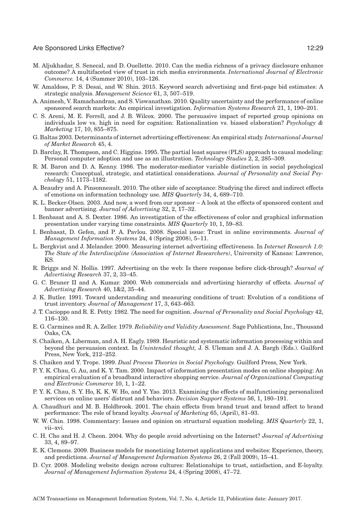- <span id="page-28-4"></span>M. Aljukhadar, S. Senecal, and D. Ouellette. 2010. Can the media richness of a privacy disclosure enhance outcome? A multifaceted view of trust in rich media environments. *International Journal of Electronic Commerce.* 14, 4 (Summer 2010), 103–126.
- <span id="page-28-0"></span>W. Amaldoss, P. S. Desai, and W. Shin. 2015. Keyword search advertising and first-page bid estimates: A strategic analysis. *Management Science* 61, 3, 507–519.
- <span id="page-28-1"></span>A. Animesh, V. Ramachandran, and S. Viswanathan. 2010. Quality uncertainty and the performance of online sponsored search markets: An empirical investigation. *Information Systems Research* 21, 1, 190–201.
- <span id="page-28-14"></span>C. S. Areni, M. E. Ferrell, and J. B. Wilcox. 2000. The persuasive impact of reported group opinions on individuals low vs. high in need for cognition: Rationalization vs. biased elaboration? *Psychology & Marketing* 17, 10, 855–875.
- <span id="page-28-12"></span>G. Baltas 2003. Determinants of internet advertising effectiveness: An empirical study. *International Journal of Market Research* 45, 4.
- <span id="page-28-21"></span>D. Barclay, R. Thompson, and C. Higgins. 1995. The partial least squares (PLS) approach to causal modeling: Personal computer adoption and use as an illustration. *Technology Studies* 2, 2, 285–309.
- <span id="page-28-24"></span>R. M. Baron and D. A. Kenny. 1986. The moderator-mediator variable distinction in social psychological research: Conceptual, strategic, and statistical considerations. *Journal of Personality and Social Psychology* 51, 1173–1182.
- <span id="page-28-10"></span>A. Beaudry and A. Pinsonneault. 2010. The other side of acceptance: Studying the direct and indirect effects of emotions on information technology use. *MIS Quarterly* 34, 4, 689–710.
- <span id="page-28-3"></span>K. L. Becker-Olsen. 2003. And now, a word from our sponsor – A look at the effects of sponsored content and banner advertising. *Journal of Advertising* 32, 2, 17–32.
- <span id="page-28-15"></span>I. Benbasat and A. S. Dexter. 1986. An investigation of the effectiveness of color and graphical information presentation under varying time constraints. *MIS Quarterly* 10, 1, 59–83.
- <span id="page-28-7"></span>I. Benbasat, D. Gefen, and P. A. Pavlou. 2008. Special issue: Trust in online environments. *Journal of Management Information Systems* 24, 4 (Spring 2008), 5–11.
- <span id="page-28-13"></span>L. Bergkvist and J. Melander. 2000. Measuring internet advertising effectiveness. In *Internet Research 1.0: The State of the Interdiscipline (Association of Internet Researchers)*, University of Kansas: Lawrence, KS.
- <span id="page-28-11"></span>R. Briggs and N. Hollis. 1997. Advertising on the web: Is there response before click-through? *Journal of Advertising Research* 37, 2, 33–45.
- <span id="page-28-6"></span>G. C. Bruner II and A. Kumar. 2000. Web commercials and advertising hierarchy of effects. *Journal of Advertising Research* 40, 1&2, 35–44.
- <span id="page-28-19"></span>J. K. Butler. 1991. Toward understanding and measuring conditions of trust: Evolution of a conditions of trust inventory. *Journal of Management* 17, 3, 643–663.
- <span id="page-28-16"></span>J. T. Cacioppo and R. E. Petty. 1982. The need for cognition. *Journal of Personality and Social Psychology* 42, 116–130.
- <span id="page-28-22"></span>E. G. Carmines and R. A. Zeller. 1979. *Reliability and Validity Assessment.* Sage Publications, Inc., Thousand Oaks, CA.
- <span id="page-28-9"></span>S. Chaiken, A. Liberman, and A. H. Eagly. 1989. Heuristic and systematic information processing within and beyond the persuasion context. In *Unintended thought,* J. S. Uleman and J. A. Bargh (Eds.). Guilford Press, New York, 212–252.
- <span id="page-28-8"></span>S. Chaiken and Y. Trope. 1999. *Dual Process Theories in Social Psychology.* Guilford Press, New York.
- P. Y. K. Chau, G. Au, and K. Y. Tam. 2000. Impact of information presentation modes on online shopping: An empirical evaluation of a broadband interactive shopping service. *Journal of Organizational Computing and Electronic Commerce* 10, 1, 1–22.
- <span id="page-28-20"></span>P. Y. K. Chau, S. Y. Ho, K. K. W. Ho, and Y. Yao. 2013. Examining the effects of malfunctioning personalized services on online users' distrust and behaviors. *Decision Support Systems* 56, 1, 180–191.
- <span id="page-28-5"></span>A. Chaudhuri and M. B. Holdbrook. 2001. The chain effects from brand trust and brand affect to brand performance: The role of brand loyalty. *Journal of Marketing* 65, (April), 81–93.
- <span id="page-28-23"></span>W. W. Chin. 1998. Commentary: Issues and opinion on structural equation modeling. *MIS Quarterly* 22, 1, vii–xvi.
- <span id="page-28-17"></span>C. H. Cho and H. J. Cheon. 2004. Why do people avoid advertising on the Internet? *Journal of Advertising* 33, 4, 89–97.
- <span id="page-28-2"></span>E. K. Clemons. 2009. Business models for monetizing Internet applications and websites: Experience, theory, and predictions. *Journal of Management Information Systems* 26, 2 (Fall 2009), 15–41.
- <span id="page-28-18"></span>D. Cyr. 2008. Modeling website design across cultures: Relationships to trust, satisfaction, and E-loyalty. *Journal of Management Information Systems* 24, 4 (Spring 2008), 47–72.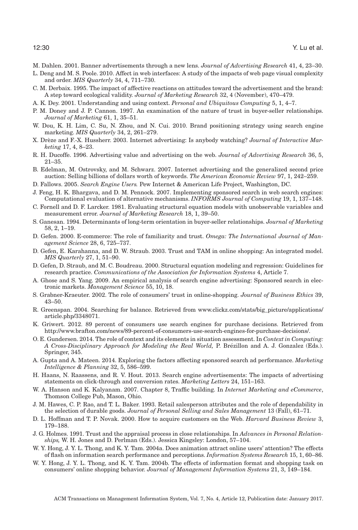- <span id="page-29-6"></span>M. Dahlen. 2001. Banner advertisements through a new lens. *Journal of Advertising Research* 41, 4, 23–30.
- <span id="page-29-14"></span>L. Deng and M. S. Poole. 2010. Affect in web interfaces: A study of the impacts of web page visual complexity and order. *MIS Quarterly* 34, 4, 711–730.
- <span id="page-29-12"></span>C. M. Derbaix. 1995. The impact of affective reactions on attitudes toward the advertisement and the brand: A step toward ecological validity. *Journal of Marketing Research* 32, 4 (November), 470–479.
- <span id="page-29-21"></span>A. K. Dey. 2001. Understanding and using context. *Personal and Ubiquitous Computing* 5, 1, 4–7.
- <span id="page-29-10"></span>P. M. Doney and J. P. Cannon. 1997. An examination of the nature of trust in buyer-seller relationships. *Journal of Marketing* 61, 1, 35–51.
- <span id="page-29-17"></span>W. Dou, K. H. Lim, C. Su, N. Zhou, and N. Cui. 2010. Brand positioning strategy using search engine marketing. *MIS Quarterly* 34, 2, 261–279.
- X. Dreze and F.-X. Hussherr. 2003. Internet advertising: Is anybody watching? ` *Journal of Interactive Marketing* 17, 4, 8–23.
- <span id="page-29-7"></span>R. H. Ducoffe. 1996. Advertising value and advertising on the web. *Journal of Advertising Research* 36, 5, 21–35.
- <span id="page-29-2"></span>B. Edelman, M. Ostrovsky, and M. Schwarz. 2007. Internet advertising and the generalized second price auction: Selling billions of dollars worth of keywords. *The American Economic Review* 97, 1, 242–259.
- <span id="page-29-25"></span>D. Fallows. 2005. *Search Engine Users.* Pew Internet & American Life Project, Washington, DC.
- <span id="page-29-1"></span>J. Feng, H. K. Bhargava, and D. M. Pennock. 2007. Implementing sponsored search in web search engines: Computational evaluation of alternative mechanisms. *INFORMS Journal of Computing* 19, 1, 137–148.
- <span id="page-29-24"></span>C. Fornell and D. F. Larcker. 1981. Evaluating structural equation models with unobservable variables and measurement error. *Journal of Marketing Research* 18, 1, 39–50.
- <span id="page-29-11"></span>S. Ganesan. 1994. Determinants of long-term orientation in buyer-seller relationships. *Journal of Marketing* 58, 2, 1–19.
- <span id="page-29-8"></span>D. Gefen. 2000. E-commerce: The role of familiarity and trust. *Omega: The International Journal of Management Science* 28, 6, 725–737.
- <span id="page-29-9"></span>D. Gefen, E. Karahanna, and D. W. Straub. 2003. Trust and TAM in online shopping: An integrated model. *MIS Quarterly* 27, 1, 51–90.
- <span id="page-29-23"></span>D. Gefen, D. Straub, and M. C. Boudreau. 2000. Structural equation modeling and regression: Guidelines for research practice. *Communications of the Association for Information Systems* 4, Article 7.
- <span id="page-29-3"></span>A. Ghose and S. Yang. 2009. An empirical analysis of search engine advertising: Sponsored search in electronic markets. *Management Science* 55, 10, 18.
- <span id="page-29-5"></span>S. Grabner-Kraeuter. 2002. The role of consumers' trust in online-shopping. *Journal of Business Ethics* 39, 43–50.
- <span id="page-29-4"></span>R. Greenspan. 2004. Searching for balance. Retrieved from www.clickz.com/stats/big\_picture/applications/ article.php/3348071.
- <span id="page-29-0"></span>K. Griwert. 2012. 89 percent of consumers use search engines for purchase decisions. Retrieved from http://www.brafton.com/news/89-percent-of-consumers-use-search-engines-for-purchase-decisions/.
- <span id="page-29-18"></span>O. E. Gundersen. 2014. The role of context and its elements in situation assessment. In *Context in Computing: A Cross-Disciplinary Approach for Modeling the Real World,* P. Brezillon and A. J. Gonzalez (Eds.). ´ Springer, 345.
- <span id="page-29-19"></span>A. Gupta and A. Mateen. 2014. Exploring the factors affecting sponsored search ad performance. *Marketing Intelligence & Planning* 32, 5, 586–599.
- <span id="page-29-20"></span>H. Haans, N. Raassens, and R. V. Hout. 2013. Search engine advertisements: The impacts of advertising statements on click-through and conversion rates. *Marketing Letters* 24, 151–163.
- <span id="page-29-16"></span>W. A. Hanson and K. Kalyanam. 2007. Chapter 8, Traffic building. In *Internet Marketing and eCommerce*, Thomson College Pub, Mason, Ohio.
- <span id="page-29-22"></span>J. M. Hawes, C. P. Rao, and T. L. Baker. 1993. Retail salesperson attributes and the role of dependability in the selection of durable goods. *Journal of Personal Selling and Sales Management* 13 (Fall), 61–71.
- <span id="page-29-15"></span>D. L. Hoffman and T. P. Novak. 2000. How to acquire customers on the Web. *Harvard Business Review* 3, 179–188.
- <span id="page-29-13"></span>J. G. Holmes. 1991. Trust and the appraisal process in close relationships. In *Advances in Personal Relationships,* W. H. Jones and D. Perlman (Eds.). Jessica Kingsley: London, 57–104.
- W. Y. Hong, J. Y. L. Thong, and K. Y. Tam. 2004a. Does animation attract online users' attention? The effects of flash on information search performance and perceptions. *Information Systems Research* 15, 1, 60–86.
- W. Y. Hong, J. Y. L. Thong, and K. Y. Tam. 2004b. The effects of information format and shopping task on consumers' online shopping behavior. *Journal of Management Information Systems* 21, 3, 149–184.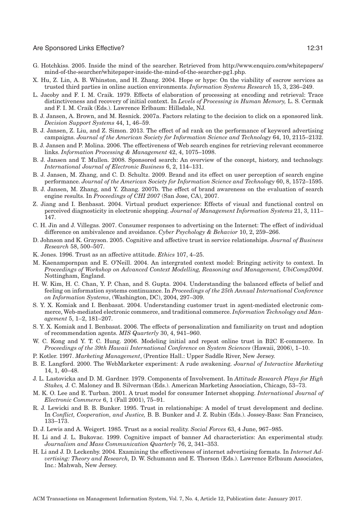- <span id="page-30-14"></span>G. Hotchkiss. 2005. Inside the mind of the searcher. Retrieved from http://www.enquiro.com/whitepapers/ mind-of-the-searcher/whitepaper-inside-the-mind-of-the-searcher-pg1.php.
- <span id="page-30-7"></span>X. Hu, Z. Lin, A. B. Whinston, and H. Zhang. 2004. Hope or hype: On the viability of escrow services as trusted third parties in online auction environments. *Information Systems Research* 15, 3, 236–249.
- <span id="page-30-20"></span>L. Jacoby and F. I. M. Craik. 1979. Effects of elaboration of processing at encoding and retrieval: Trace distinctiveness and recovery of initial context. In *Levels of Processing in Human Memory,* L. S. Cermak and F. I. M. Craik (Eds.). Lawrence Erlbaum: Hillsdale, NJ.
- <span id="page-30-2"></span>B. J. Jansen, A. Brown, and M. Resnick. 2007a. Factors relating to the decision to click on a sponsored link. *Decision Support Systems* 44, 1, 46–59.
- <span id="page-30-23"></span>B. J. Jansen, Z. Liu, and Z. Simon. 2013. The effect of ad rank on the performance of keyword advertising campaigns. *Journal of the American Society for Information Science and Technology* 64, 10, 2115–2132.
- <span id="page-30-0"></span>B. J. Jansen and P. Molina. 2006. The effectiveness of Web search engines for retrieving relevant ecommerce links. *Information Processing & Management* 42, 4, 1075–1098.
- <span id="page-30-1"></span>B. J. Jansen and T. Mullen. 2008. Sponsored search: An overview of the concept, history, and technology. *International Journal of Electronic Business* 6, 2, 114–131.
- <span id="page-30-12"></span>B. J. Jansen, M. Zhang, and C. D. Schultz. 2009. Brand and its effect on user perception of search engine performance. *Journal of the American Society for Information Science and Technology* 60, 8, 1572–1595.
- <span id="page-30-16"></span>B. J. Jansen, M. Zhang, and Y. Zhang. 2007b. The effect of brand awareness on the evaluation of search engine results. In *Proceedings of CHI 2007* (San Jose, CA), 2007.
- <span id="page-30-8"></span>Z. Jiang and I. Benbasat. 2004. Virtual product experience: Effects of visual and functional control on perceived diagnosticity in electronic shopping. *Journal of Management Information Systems* 21, 3, 111– 147.
- <span id="page-30-13"></span>C. H. Jin and J. Villegas. 2007. Consumer responses to advertising on the Internet: The effect of individual difference on ambivalence and avoidance. *Cyber Psychology & Behavior* 10, 2, 259–266.
- <span id="page-30-9"></span>D. Johnson and K. Grayson. 2005. Cognitive and affective trust in service relationships. *Journal of Business Research* 58, 500–507.
- <span id="page-30-10"></span>K. Jones. 1996. Trust as an affective attitude. *Ethics* 107, 4–25.
- <span id="page-30-15"></span>M. Kaenampornpan and E. O'Neill. 2004. An intergrated context model: Bringing activity to context. In *Proceedings of Workshop on Advanced Context Modelling, Reasoning and Management, UbiComp2004*. Nottingham, England.
- <span id="page-30-6"></span>H. W. Kim, H. C. Chan, Y. P. Chan, and S. Gupta. 2004. Understanding the balanced effects of belief and feeling on information systems continuance. In *Proceedings of the 25th Annual International Conference on Information Systems*, (Washington, DC), 2004, 297–309.
- <span id="page-30-4"></span>S. Y. X. Komiak and I. Benbasat. 2004. Understanding customer trust in agent-mediated electronic commerce, Web-mediated electronic commerce, and traditional commerce. *Information Technology and Management* 5, 1–2, 181–207.
- <span id="page-30-3"></span>S. Y. X. Komiak and I. Benbasat. 2006. The effects of personalization and familiarity on trust and adoption of recommendation agents. *MIS Quarterly* 30, 4, 941–960.
- <span id="page-30-17"></span>W. C. Kong and Y. T. C. Hung. 2006. Modeling initial and repeat online trust in B2C E-commerce. In *Proceedings of the 39th Hawaii International Conference on System Sciences* (Hawaii, 2006), 1–10.
- <span id="page-30-24"></span>P. Kotler. 1997. *Marketing Management*, (Prentice Hall.: Upper Saddle River, New Jersey.
- <span id="page-30-19"></span>B. E. Langford. 2000. The WebMarketer experiment: A rude awakening. *Journal of Interactive Marketing* 14, 1, 40–48.
- <span id="page-30-22"></span>J. L. Lastovicka and D. M. Gardner. 1979. Components of Involvement. In *Attitude Research Plays for High Stakes,* J. C. Maloney and B. Silverman (Eds.). American Marketing Association, Chicago, 53–73.
- <span id="page-30-21"></span>M. K. O. Lee and E. Turban. 2001. A trust model for consumer Internet shopping. *International Journal of Electronic Commerce* 6, 1 (Fall 2001), 75–91.
- <span id="page-30-18"></span>R. J. Lewicki and B. B. Bunker. 1995. Trust in relationships: A model of trust development and decline. In *Conflict, Cooperation, and Justice,* B. B. Bunker and J. Z. Rubin (Eds.). Jossey-Bass: San Francisco, 133–173.
- <span id="page-30-5"></span>D. J. Lewis and A. Weigert. 1985. Trust as a social reality. *Social Forces* 63, 4 June, 967–985.
- H. Li and J. L. Bukovac. 1999. Cognitive impact of banner Ad characteristics: An experimental study. *Journalism and Mass Communication Quarterly* 76, 2, 341–353.
- <span id="page-30-11"></span>H. Li and J. D. Leckenby. 2004. Examining the effectiveness of internet advertising formats. In *Internet Advertising: Theory and Research,* D. W. Schumann and E. Thorson (Eds.). Lawrence Erlbaum Associates, Inc.: Mahwah, New Jersey.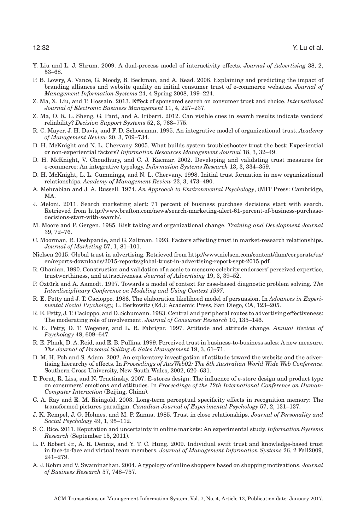- <span id="page-31-9"></span>Y. Liu and L. J. Shrum. 2009. A dual-process model of interactivity effects. *Journal of Advertising* 38, 2, 53–68.
- <span id="page-31-18"></span>P. B. Lowry, A. Vance, G. Moody, B. Beckman, and A. Read. 2008. Explaining and predicting the impact of branding alliances and website quality on initial consumer trust of e-commerce websites. *Journal of Management Information Systems* 24, 4 Spring 2008, 199–224.
- Z. Ma, X. Liu, and T. Hossain. 2013. Effect of sponsored search on consumer trust and choice. *International Journal of Electronic Business Management* 11, 4, 227–237.
- <span id="page-31-2"></span>Z. Ma, O. R. L. Sheng, G. Pant, and A. Iriberri. 2012. Can visible cues in search results indicate vendors' reliability? *Decision Support Systems* 52, 3, 768–775.
- <span id="page-31-3"></span>R. C. Mayer, J. H. Davis, and F. D. Schoorman. 1995. An integrative model of organizational trust. *Academy of Management Review* 20, 3, 709–734.
- <span id="page-31-4"></span>D. H. McKnight and N. L. Chervany. 2005. What builds system troubleshooter trust the best: Experiential or non-experiential factors? *Information Resources Management Journal* 18, 3, 32–49.
- <span id="page-31-7"></span>D. H. McKnight, V. Choudhury, and C. J. Kacmar. 2002. Developing and validating trust measures for e-commerce: An integrative typology. *Information Systems Research* 13, 3, 334–359.
- <span id="page-31-17"></span>D. H. McKnight, L. L. Cummings, and N. L. Chervany. 1998. Initial trust formation in new organizational relationships. *Academy of Management Review* 23, 3, 473–490.
- <span id="page-31-11"></span>A. Mehrabian and J. A. Russell. 1974. *An Approach to Environmental Psychology*, (MIT Press: Cambridge, MA.
- <span id="page-31-0"></span>J. Meloni. 2011. Search marketing alert: 71 percent of business purchase decisions start with search. Retrieved from http://www.brafton.com/news/search-marketing-alert-61-percent-of-business-purchasedecisions-start-with-search/.
- <span id="page-31-15"></span>M. Moore and P. Gergen. 1985. Risk taking and organizational change. *Training and Development Journal* 39, 72–76.
- <span id="page-31-5"></span>C. Moorman, R. Deshpande, and G. Zaltman. 1993. Factors affecting trust in market-research relationships. *Journal of Marketing* 57, 1, 81–101.
- <span id="page-31-1"></span>Nielsen 2015. Global trust in advertising. Retrieved from http://www.nielsen.com/content/dam/corporate/us/ en/reports-downloads/2015-reports/global-trust-in-advertising-report-sept-2015.pdf.
- <span id="page-31-22"></span>R. Ohanian. 1990. Construction and validation of a scale to measure celebrity endorsers' perceived expertise, trustworthiness, and attractiveness. *Journal of Advertising* 19, 3, 39–52.
- <span id="page-31-14"></span>P. Öztürk and A. Aamodt. 1997. Towards a model of context for case-based diagnostic problem solving. The *Interdisciplinary Conference on Modeling and Using Context 1997.*
- <span id="page-31-8"></span>R. E. Petty and J. T. Cacioppo. 1986. The elaboration likelihood model of persuasion. In *Advances in Experimental Social Psychology,* L. Berkowitz (Ed.): Academic Press, San Diego, CA, 123–205.
- <span id="page-31-20"></span>R. E. Petty, J. T. Cacioppo, and D. Schumann. 1983. Central and peripheral routes to advertising effectiveness: The moderating role of involvement. *Journal of Consumer Research* 10, 135–146.
- <span id="page-31-21"></span>R. E. Petty, D. T. Wegener, and L. R. Fabrigar. 1997. Attitude and attitude change. *Annual Review of Psychology* 48, 609–647.
- <span id="page-31-23"></span>R. E. Plank, D. A. Reid, and E. B. Pullins. 1999. Perceived trust in business-to-business sales: A new measure. *The Journal of Personal Selling & Sales Management* 19, 3, 61–71.
- <span id="page-31-13"></span>D. M. H. Poh and S. Adam. 2002. An exploratory investigation of attitude toward the website and the advertising hierarchy of effects. In *Proceedings of AusWeb02: The 8th Australian World Wide Web Conference.* Southern Cross University, New South Wales, 2002, 620–631.
- <span id="page-31-12"></span>T. Porat, R. Liss, and N. Tractinsky. 2007. E-stores design: The influence of e-store design and product type on consumers' emotions and attitudes. In *Proceedings of the 12th International Conference on Human-Computer Interaction* (Beijing, China).
- <span id="page-31-24"></span>C. A. Ray and E. M. Reingold. 2003. Long-term perceptual specificity effects in recognition memory: The transformed pictures paradigm. *Canadian Journal of Experimental Psychology* 57, 2, 131–137.
- <span id="page-31-6"></span>J. K. Rempel, J. G. Holmes, and M. P. Zanna. 1985. Trust in close relationships. *Journal of Personality and Social Psychology* 49, 1, 95–112.
- <span id="page-31-19"></span>S. C. Rice. 2011. Reputation and uncertainty in online markets: An experimental study. *Information Systems Research* (September 15, 2011).
- <span id="page-31-10"></span>L. P. Robert Jr., A. R. Dennis, and Y. T. C. Hung. 2009. Individual swift trust and knowledge-based trust in face-to-face and virtual team members. *Journal of Management Information Systems* 26, 2 Fall2009, 241–279.
- <span id="page-31-16"></span>A. J. Rohm and V. Swaminathan. 2004. A typology of online shoppers based on shopping motivations. *Journal of Business Research* 57, 748–757.